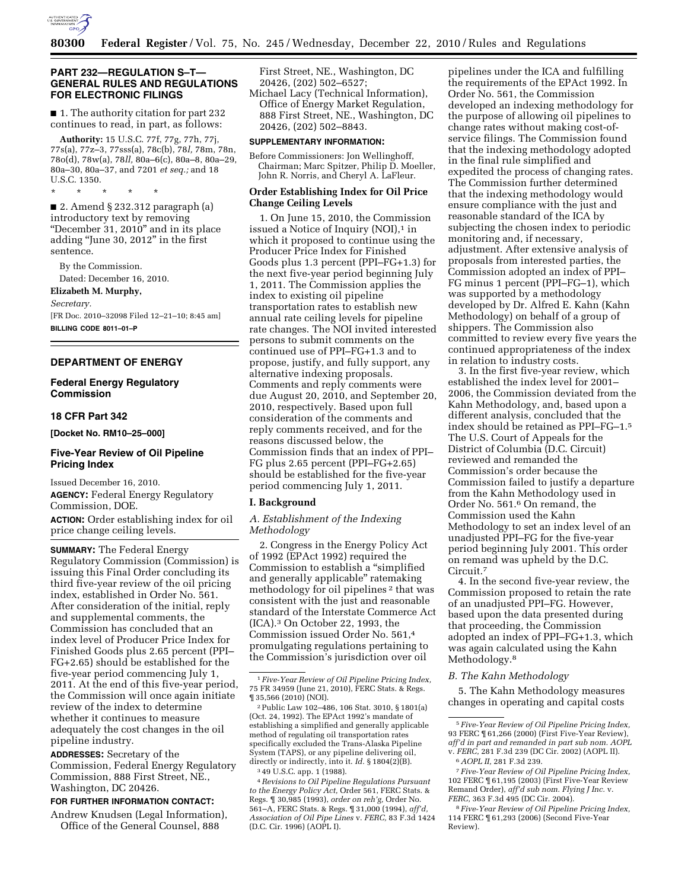

## **PART 232—REGULATION S–T— GENERAL RULES AND REGULATIONS FOR ELECTRONIC FILINGS**

■ 1. The authority citation for part 232 continues to read, in part, as follows:

**Authority:** 15 U.S.C. 77f, 77g, 77h, 77j, 77s(a), 77z–3, 77sss(a), 78c(b), 78*l,* 78m, 78n, 78o(d), 78w(a), 78*ll,* 80a–6(c), 80a–8, 80a–29, 80a–30, 80a–37, and 7201 *et seq.;* and 18 U.S.C. 1350.

\* \* \* \* \*

■ 2. Amend § 232.312 paragraph (a) introductory text by removing "December 31, 2010" and in its place adding ''June 30, 2012'' in the first sentence.

By the Commission. Dated: December 16, 2010. **Elizabeth M. Murphy,**  *Secretary.* 

[FR Doc. 2010–32098 Filed 12–21–10; 8:45 am] **BILLING CODE 8011–01–P** 

# **DEPARTMENT OF ENERGY**

**Federal Energy Regulatory Commission** 

### **18 CFR Part 342**

**[Docket No. RM10–25–000]** 

# **Five-Year Review of Oil Pipeline Pricing Index**

Issued December 16, 2010. **AGENCY:** Federal Energy Regulatory Commission, DOE. **ACTION:** Order establishing index for oil price change ceiling levels.

**SUMMARY:** The Federal Energy Regulatory Commission (Commission) is issuing this Final Order concluding its third five-year review of the oil pricing index, established in Order No. 561. After consideration of the initial, reply and supplemental comments, the Commission has concluded that an index level of Producer Price Index for Finished Goods plus 2.65 percent (PPI– FG+2.65) should be established for the five-year period commencing July 1, 2011. At the end of this five-year period, the Commission will once again initiate review of the index to determine whether it continues to measure adequately the cost changes in the oil pipeline industry.

**ADDRESSES:** Secretary of the Commission, Federal Energy Regulatory Commission, 888 First Street, NE., Washington, DC 20426.

### **FOR FURTHER INFORMATION CONTACT:**

Andrew Knudsen (Legal Information), Office of the General Counsel, 888

First Street, NE., Washington, DC 20426, (202) 502–6527;

Michael Lacy (Technical Information), Office of Energy Market Regulation, 888 First Street, NE., Washington, DC 20426, (202) 502–8843.

### **SUPPLEMENTARY INFORMATION:**

Before Commissioners: Jon Wellinghoff, Chairman; Marc Spitzer, Philip D. Moeller, John R. Norris, and Cheryl A. LaFleur.

# **Order Establishing Index for Oil Price Change Ceiling Levels**

1. On June 15, 2010, the Commission issued a Notice of Inquiry  $(NOI),<sup>1</sup>$  in which it proposed to continue using the Producer Price Index for Finished Goods plus 1.3 percent (PPI–FG+1.3) for the next five-year period beginning July 1, 2011. The Commission applies the index to existing oil pipeline transportation rates to establish new annual rate ceiling levels for pipeline rate changes. The NOI invited interested persons to submit comments on the continued use of PPI–FG+1.3 and to propose, justify, and fully support, any alternative indexing proposals. Comments and reply comments were due August 20, 2010, and September 20, 2010, respectively. Based upon full consideration of the comments and reply comments received, and for the reasons discussed below, the Commission finds that an index of PPI– FG plus 2.65 percent (PPI–FG+2.65) should be established for the five-year period commencing July 1, 2011.

#### **I. Background**

# *A. Establishment of the Indexing Methodology*

2. Congress in the Energy Policy Act of 1992 (EPAct 1992) required the Commission to establish a ''simplified and generally applicable'' ratemaking methodology for oil pipelines 2 that was consistent with the just and reasonable standard of the Interstate Commerce Act (ICA).3 On October 22, 1993, the Commission issued Order No. 561,4 promulgating regulations pertaining to the Commission's jurisdiction over oil

4*Revisions to Oil Pipeline Regulations Pursuant to the Energy Policy Act,* Order 561, FERC Stats. & Regs. ¶ 30,985 (1993), *order on reh'g,* Order No. 561–A, FERC Stats. & Regs. ¶ 31,000 (1994), *aff'd, Association of Oil Pipe Lines* v. *FERC,* 83 F.3d 1424 (D.C. Cir. 1996) (AOPL I).

pipelines under the ICA and fulfilling the requirements of the EPAct 1992. In Order No. 561, the Commission developed an indexing methodology for the purpose of allowing oil pipelines to change rates without making cost-ofservice filings. The Commission found that the indexing methodology adopted in the final rule simplified and expedited the process of changing rates. The Commission further determined that the indexing methodology would ensure compliance with the just and reasonable standard of the ICA by subjecting the chosen index to periodic monitoring and, if necessary, adjustment. After extensive analysis of proposals from interested parties, the Commission adopted an index of PPI– FG minus 1 percent (PPI–FG–1), which was supported by a methodology developed by Dr. Alfred E. Kahn (Kahn Methodology) on behalf of a group of shippers. The Commission also committed to review every five years the continued appropriateness of the index in relation to industry costs.

3. In the first five-year review, which established the index level for 2001– 2006, the Commission deviated from the Kahn Methodology, and, based upon a different analysis, concluded that the index should be retained as PPI–FG–1.5 The U.S. Court of Appeals for the District of Columbia (D.C. Circuit) reviewed and remanded the Commission's order because the Commission failed to justify a departure from the Kahn Methodology used in Order No. 561.6 On remand, the Commission used the Kahn Methodology to set an index level of an unadjusted PPI–FG for the five-year period beginning July 2001. This order on remand was upheld by the D.C. Circuit.7

4. In the second five-year review, the Commission proposed to retain the rate of an unadjusted PPI–FG. However, based upon the data presented during that proceeding, the Commission adopted an index of PPI–FG+1.3, which was again calculated using the Kahn Methodology.<sup>8</sup>

### *B. The Kahn Methodology*

5. The Kahn Methodology measures changes in operating and capital costs

<sup>1</sup>*Five-Year Review of Oil Pipeline Pricing Index,*  75 FR 34959 (June 21, 2010), FERC Stats. & Regs. ¶ 35,566 (2010) (NOI).

<sup>2</sup>Public Law 102–486, 106 Stat. 3010, § 1801(a) (Oct. 24, 1992). The EPAct 1992's mandate of establishing a simplified and generally applicable method of regulating oil transportation rates specifically excluded the Trans-Alaska Pipeline System (TAPS), or any pipeline delivering oil, directly or indirectly, into it. *Id.* § 1804(2)(B). 3 49 U.S.C. app. 1 (1988).

<sup>5</sup>*Five-Year Review of Oil Pipeline Pricing Index,*  93 FERC ¶ 61,266 (2000) (First Five-Year Review), *aff'd in part and remanded in part sub nom. AOPL*  v. *FERC,* 281 F.3d 239 (DC Cir. 2002) (AOPL II). 6*AOPL II,* 281 F.3d 239.

<sup>7</sup>*Five-Year Review of Oil Pipeline Pricing Index,*  102 FERC ¶ 61,195 (2003) (First Five-Year Review Remand Order), *aff'd sub nom. Flying J Inc.* v. *FERC,* 363 F.3d 495 (DC Cir. 2004).

<sup>8</sup>*Five-Year Review of Oil Pipeline Pricing Index,*  114 FERC ¶ 61,293 (2006) (Second Five-Year Review).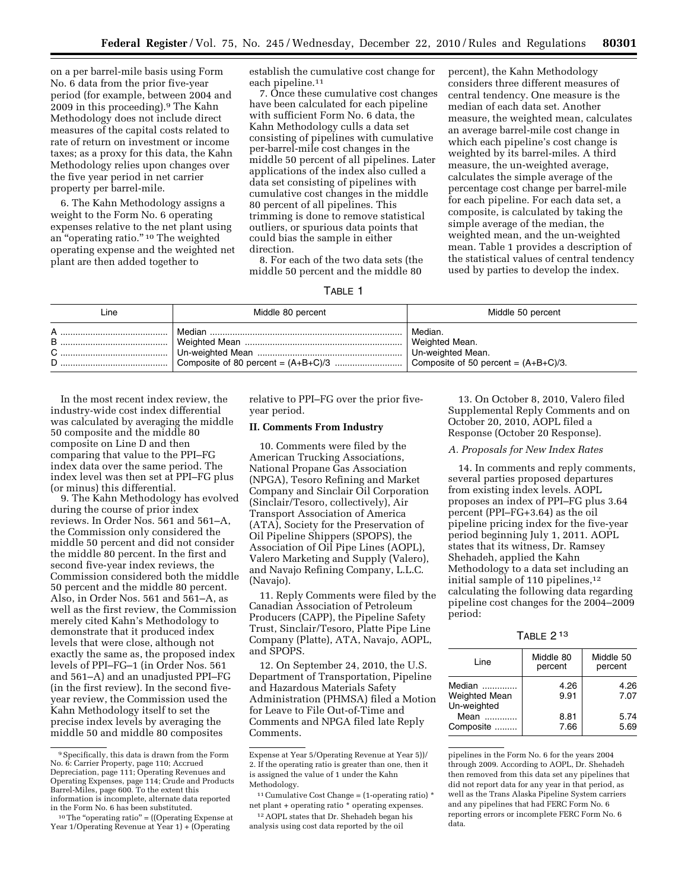on a per barrel-mile basis using Form No. 6 data from the prior five-year period (for example, between 2004 and 2009 in this proceeding).9 The Kahn Methodology does not include direct measures of the capital costs related to rate of return on investment or income taxes; as a proxy for this data, the Kahn Methodology relies upon changes over the five year period in net carrier property per barrel-mile.

6. The Kahn Methodology assigns a weight to the Form No. 6 operating expenses relative to the net plant using an ''operating ratio.'' 10 The weighted operating expense and the weighted net plant are then added together to

establish the cumulative cost change for each pipeline.11

7. Once these cumulative cost changes have been calculated for each pipeline with sufficient Form No. 6 data, the Kahn Methodology culls a data set consisting of pipelines with cumulative per-barrel-mile cost changes in the middle 50 percent of all pipelines. Later applications of the index also culled a data set consisting of pipelines with cumulative cost changes in the middle 80 percent of all pipelines. This trimming is done to remove statistical outliers, or spurious data points that could bias the sample in either direction.

8. For each of the two data sets (the middle 50 percent and the middle 80

percent), the Kahn Methodology considers three different measures of central tendency. One measure is the median of each data set. Another measure, the weighted mean, calculates an average barrel-mile cost change in which each pipeline's cost change is weighted by its barrel-miles. A third measure, the un-weighted average, calculates the simple average of the percentage cost change per barrel-mile for each pipeline. For each data set, a composite, is calculated by taking the simple average of the median, the weighted mean, and the un-weighted mean. Table 1 provides a description of the statistical values of central tendency used by parties to develop the index.

|--|--|

| Line   | Middle 80 percent | Middle 50 percent                                                                         |
|--------|-------------------|-------------------------------------------------------------------------------------------|
| B<br>D | Median            | Median.<br>Weighted Mean.<br>Un-weighted Mean.<br>Composite of 50 percent = $(A+B+C)/3$ . |

In the most recent index review, the industry-wide cost index differential was calculated by averaging the middle 50 composite and the middle 80 composite on Line D and then comparing that value to the PPI–FG index data over the same period. The index level was then set at PPI–FG plus (or minus) this differential.

9. The Kahn Methodology has evolved during the course of prior index reviews. In Order Nos. 561 and 561–A, the Commission only considered the middle 50 percent and did not consider the middle 80 percent. In the first and second five-year index reviews, the Commission considered both the middle 50 percent and the middle 80 percent. Also, in Order Nos. 561 and 561–A, as well as the first review, the Commission merely cited Kahn's Methodology to demonstrate that it produced index levels that were close, although not exactly the same as, the proposed index levels of PPI–FG–1 (in Order Nos. 561 and 561–A) and an unadjusted PPI–FG (in the first review). In the second fiveyear review, the Commission used the Kahn Methodology itself to set the precise index levels by averaging the middle 50 and middle 80 composites

relative to PPI–FG over the prior fiveyear period.

# **II. Comments From Industry**

10. Comments were filed by the American Trucking Associations, National Propane Gas Association (NPGA), Tesoro Refining and Market Company and Sinclair Oil Corporation (Sinclair/Tesoro, collectively), Air Transport Association of America (ATA), Society for the Preservation of Oil Pipeline Shippers (SPOPS), the Association of Oil Pipe Lines (AOPL), Valero Marketing and Supply (Valero), and Navajo Refining Company, L.L.C. (Navajo).

11. Reply Comments were filed by the Canadian Association of Petroleum Producers (CAPP), the Pipeline Safety Trust, Sinclair/Tesoro, Platte Pipe Line Company (Platte), ATA, Navajo, AOPL, and SPOPS.

12. On September 24, 2010, the U.S. Department of Transportation, Pipeline and Hazardous Materials Safety Administration (PHMSA) filed a Motion for Leave to File Out-of-Time and Comments and NPGA filed late Reply Comments.

13. On October 8, 2010, Valero filed Supplemental Reply Comments and on October 20, 2010, AOPL filed a Response (October 20 Response).

# *A. Proposals for New Index Rates*

14. In comments and reply comments, several parties proposed departures from existing index levels. AOPL proposes an index of PPI–FG plus 3.64 percent (PPI–FG+3.64) as the oil pipeline pricing index for the five-year period beginning July 1, 2011. AOPL states that its witness, Dr. Ramsey Shehadeh, applied the Kahn Methodology to a data set including an initial sample of 110 pipelines,<sup>12</sup> calculating the following data regarding pipeline cost changes for the 2004–2009 period:

| ABI F |  | 13 |
|-------|--|----|
|-------|--|----|

| Line                                          | Middle 80<br>percent | Middle 50<br>percent |
|-----------------------------------------------|----------------------|----------------------|
| Median<br><b>Weighted Mean</b><br>Un-weighted | 4.26<br>9.91         | 4.26<br>7.07         |
| Mean<br>Composite                             | 8.81<br>7.66         | 5.74<br>5.69         |

pipelines in the Form No. 6 for the years 2004 through 2009. According to AOPL, Dr. Shehadeh then removed from this data set any pipelines that did not report data for any year in that period, as well as the Trans Alaska Pipeline System carriers and any pipelines that had FERC Form No. 6 reporting errors or incomplete FERC Form No. 6 data.

<sup>9</sup>Specifically, this data is drawn from the Form No. 6: Carrier Property, page 110; Accrued Depreciation, page 111; Operating Revenues and Operating Expenses, page 114; Crude and Products Barrel-Miles, page 600. To the extent this information is incomplete, alternate data reported in the Form No. 6 has been substituted.

 $10$  The "operating ratio" = ((Operating Expense at Year 1/Operating Revenue at Year 1) + (Operating

Expense at Year 5/Operating Revenue at Year 5))/ 2. If the operating ratio is greater than one, then it is assigned the value of 1 under the Kahn Methodology.

 $^{\rm 11}$  Cumulative Cost Change = (1-operating ratio)  $^{\star}$ net plant + operating ratio \* operating expenses.

<sup>12</sup>AOPL states that Dr. Shehadeh began his analysis using cost data reported by the oil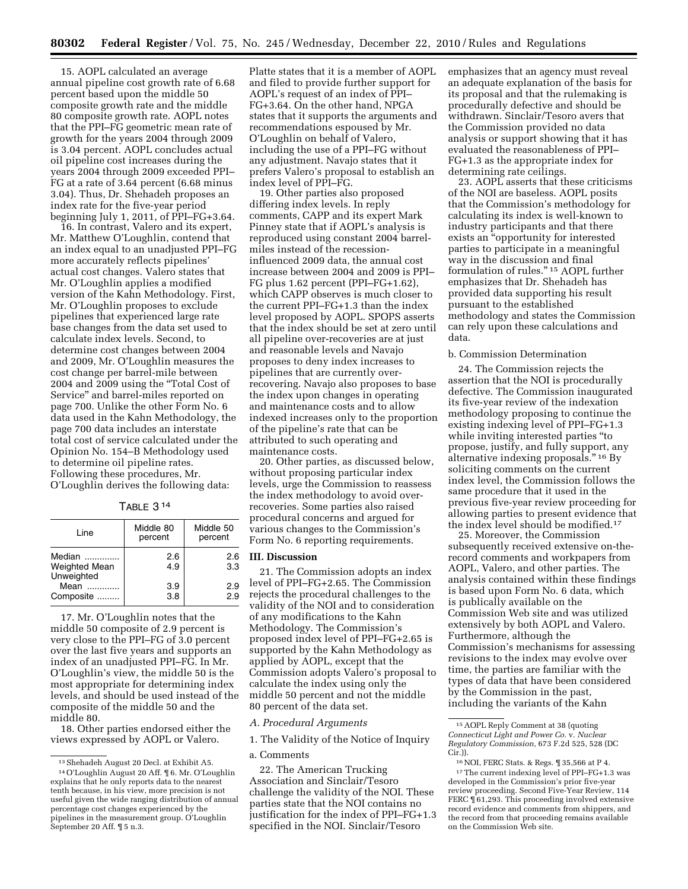15. AOPL calculated an average annual pipeline cost growth rate of 6.68 percent based upon the middle 50 composite growth rate and the middle 80 composite growth rate. AOPL notes that the PPI–FG geometric mean rate of growth for the years 2004 through 2009 is 3.04 percent. AOPL concludes actual oil pipeline cost increases during the years 2004 through 2009 exceeded PPI– FG at a rate of 3.64 percent (6.68 minus 3.04). Thus, Dr. Shehadeh proposes an index rate for the five-year period beginning July 1, 2011, of PPI–FG+3.64.

16. In contrast, Valero and its expert, Mr. Matthew O'Loughlin, contend that an index equal to an unadjusted PPI–FG more accurately reflects pipelines' actual cost changes. Valero states that Mr. O'Loughlin applies a modified version of the Kahn Methodology. First, Mr. O'Loughlin proposes to exclude pipelines that experienced large rate base changes from the data set used to calculate index levels. Second, to determine cost changes between 2004 and 2009, Mr. O'Loughlin measures the cost change per barrel-mile between 2004 and 2009 using the ''Total Cost of Service'' and barrel-miles reported on page 700. Unlike the other Form No. 6 data used in the Kahn Methodology, the page 700 data includes an interstate total cost of service calculated under the Opinion No. 154–B Methodology used to determine oil pipeline rates. Following these procedures, Mr. O'Loughlin derives the following data:

TABLE 3 14

| Line                                         | Middle 80<br>percent | Middle 50<br>percent |  |
|----------------------------------------------|----------------------|----------------------|--|
| Median<br><b>Weighted Mean</b><br>Unweighted | 2.6<br>4.9           | 2.6<br>3.3           |  |
| Mean<br>Composite                            | 3.9<br>3.8           | 2.9<br>2.9           |  |

17. Mr. O'Loughlin notes that the middle 50 composite of 2.9 percent is very close to the PPI–FG of 3.0 percent over the last five years and supports an index of an unadjusted PPI–FG. In Mr. O'Loughlin's view, the middle 50 is the most appropriate for determining index levels, and should be used instead of the composite of the middle 50 and the middle 80.

18. Other parties endorsed either the views expressed by AOPL or Valero.

Platte states that it is a member of AOPL and filed to provide further support for AOPL's request of an index of PPI– FG+3.64. On the other hand, NPGA states that it supports the arguments and recommendations espoused by Mr. O'Loughlin on behalf of Valero, including the use of a PPI–FG without any adjustment. Navajo states that it prefers Valero's proposal to establish an index level of PPI–FG.

19. Other parties also proposed differing index levels. In reply comments, CAPP and its expert Mark Pinney state that if AOPL's analysis is reproduced using constant 2004 barrelmiles instead of the recessioninfluenced 2009 data, the annual cost increase between 2004 and 2009 is PPI– FG plus 1.62 percent (PPI–FG+1.62), which CAPP observes is much closer to the current PPI–FG+1.3 than the index level proposed by AOPL. SPOPS asserts that the index should be set at zero until all pipeline over-recoveries are at just and reasonable levels and Navajo proposes to deny index increases to pipelines that are currently overrecovering. Navajo also proposes to base the index upon changes in operating and maintenance costs and to allow indexed increases only to the proportion of the pipeline's rate that can be attributed to such operating and maintenance costs.

20. Other parties, as discussed below, without proposing particular index levels, urge the Commission to reassess the index methodology to avoid overrecoveries. Some parties also raised procedural concerns and argued for various changes to the Commission's Form No. 6 reporting requirements.

# **III. Discussion**

21. The Commission adopts an index level of PPI–FG+2.65. The Commission rejects the procedural challenges to the validity of the NOI and to consideration of any modifications to the Kahn Methodology. The Commission's proposed index level of PPI–FG+2.65 is supported by the Kahn Methodology as applied by AOPL, except that the Commission adopts Valero's proposal to calculate the index using only the middle 50 percent and not the middle 80 percent of the data set.

# *A. Procedural Arguments*

1. The Validity of the Notice of Inquiry

#### a. Comments

22. The American Trucking Association and Sinclair/Tesoro challenge the validity of the NOI. These parties state that the NOI contains no justification for the index of PPI–FG+1.3 specified in the NOI. Sinclair/Tesoro

emphasizes that an agency must reveal an adequate explanation of the basis for its proposal and that the rulemaking is procedurally defective and should be withdrawn. Sinclair/Tesoro avers that the Commission provided no data analysis or support showing that it has evaluated the reasonableness of PPI– FG+1.3 as the appropriate index for determining rate ceilings.

23. AOPL asserts that these criticisms of the NOI are baseless. AOPL posits that the Commission's methodology for calculating its index is well-known to industry participants and that there exists an ''opportunity for interested parties to participate in a meaningful way in the discussion and final formulation of rules.'' 15 AOPL further emphasizes that Dr. Shehadeh has provided data supporting his result pursuant to the established methodology and states the Commission can rely upon these calculations and data.

#### b. Commission Determination

24. The Commission rejects the assertion that the NOI is procedurally defective. The Commission inaugurated its five-year review of the indexation methodology proposing to continue the existing indexing level of PPI–FG+1.3 while inviting interested parties ''to propose, justify, and fully support, any alternative indexing proposals.'' 16 By soliciting comments on the current index level, the Commission follows the same procedure that it used in the previous five-year review proceeding for allowing parties to present evidence that the index level should be modified.17

25. Moreover, the Commission subsequently received extensive on-therecord comments and workpapers from AOPL, Valero, and other parties. The analysis contained within these findings is based upon Form No. 6 data, which is publically available on the Commission Web site and was utilized extensively by both AOPL and Valero. Furthermore, although the Commission's mechanisms for assessing revisions to the index may evolve over time, the parties are familiar with the types of data that have been considered by the Commission in the past, including the variants of the Kahn

<sup>13</sup>Shehadeh August 20 Decl. at Exhibit A5.

<sup>14</sup>O'Loughlin August 20 Aff. ¶ 6. Mr. O'Loughlin explains that he only reports data to the nearest tenth because, in his view, more precision is not useful given the wide ranging distribution of annual percentage cost changes experienced by the pipelines in the measurement group. O'Loughlin September 20 Aff. ¶ 5 n.3.

<sup>15</sup>AOPL Reply Comment at 38 (quoting *Connecticut Light and Power Co.* v. *Nuclear Regulatory Commission,* 673 F.2d 525, 528 (DC Cir.)).

<sup>16</sup>NOI, FERC Stats. & Regs. ¶ 35,566 at P 4. 17The current indexing level of PPI–FG+1.3 was developed in the Commission's prior five-year review proceeding. Second Five-Year Review, 114 FERC  $\P$ 61,293. This proceeding involved extensive record evidence and comments from shippers, and the record from that proceeding remains available on the Commission Web site.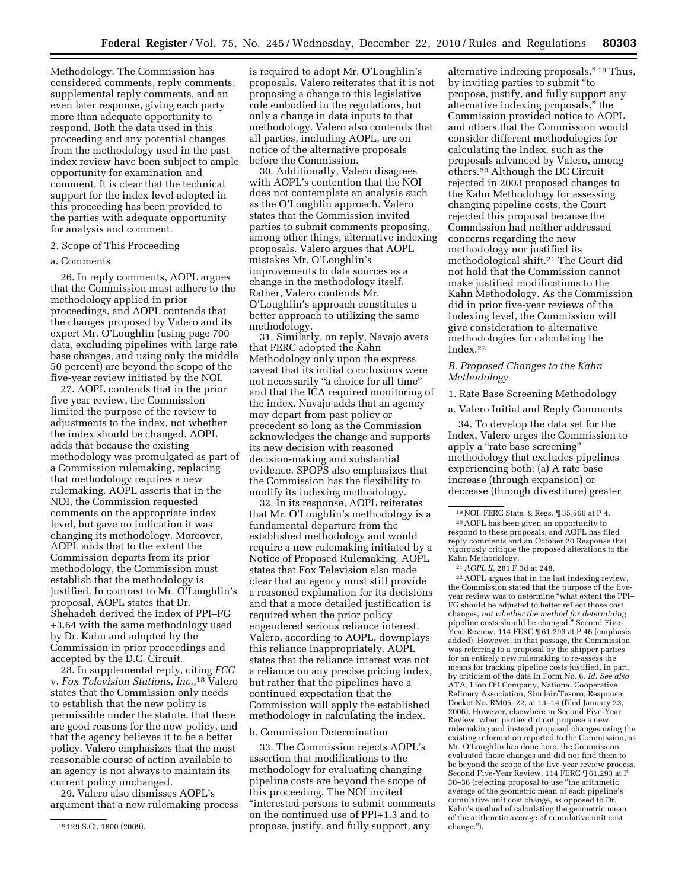Methodology. The Commission has considered comments, reply comments, supplemental reply comments, and an even later response, giving each party more than adequate opportunity to respond. Both the data used in this proceeding and any potential changes from the methodology used in the past index review have been subject to ample opportunity for examination and comment. It is clear that the technical support for the index level adopted in this proceeding has been provided to the parties with adequate opportunity for analysis and comment.

### 2. Scope of This Proceeding

#### a. Comments

26. In reply comments, AOPL argues that the Commission must adhere to the methodology applied in prior proceedings, and AOPL contends that the changes proposed by Valero and its expert Mr. O'Loughlin (using page 700 data, excluding pipelines with large rate base changes, and using only the middle 50 percent) are beyond the scope of the five-year review initiated by the NOI.

27. AOPL contends that in the prior five year review, the Commission limited the purpose of the review to adjustments to the index, not whether the index should be changed. AOPL adds that because the existing methodology was promulgated as part of a Commission rulemaking, replacing that methodology requires a new rulemaking. AOPL asserts that in the NOI, the Commission requested comments on the appropriate index level, but gave no indication it was changing its methodology. Moreover, AOPL adds that to the extent the Commission departs from its prior methodology, the Commission must establish that the methodology is justified. In contrast to Mr. O'Loughlin's proposal, AOPL states that Dr. Shehadeh derived the index of PPI–FG +3.64 with the same methodology used by Dr. Kahn and adopted by the Commission in prior proceedings and accepted by the D.C. Circuit.

28. In supplemental reply, citing *FCC*  v. *Fox Television Stations, Inc.,*18 Valero states that the Commission only needs to establish that the new policy is permissible under the statute, that there are good reasons for the new policy, and that the agency believes it to be a better policy. Valero emphasizes that the most reasonable course of action available to an agency is not always to maintain its current policy unchanged.

29. Valero also dismisses AOPL's argument that a new rulemaking process

is required to adopt Mr. O'Loughlin's proposals. Valero reiterates that it is not proposing a change to this legislative rule embodied in the regulations, but only a change in data inputs to that methodology. Valero also contends that all parties, including AOPL, are on notice of the alternative proposals before the Commission.

30. Additionally, Valero disagrees with AOPL's contention that the NOI does not contemplate an analysis such as the O'Loughlin approach. Valero states that the Commission invited parties to submit comments proposing, among other things, alternative indexing proposals. Valero argues that AOPL mistakes Mr. O'Loughlin's improvements to data sources as a change in the methodology itself. Rather, Valero contends Mr. O'Loughlin's approach constitutes a better approach to utilizing the same methodology.

31. Similarly, on reply, Navajo avers that FERC adopted the Kahn Methodology only upon the express caveat that its initial conclusions were not necessarily "a choice for all time" and that the ICA required monitoring of the index. Navajo adds that an agency may depart from past policy or precedent so long as the Commission acknowledges the change and supports its new decision with reasoned decision-making and substantial evidence. SPOPS also emphasizes that the Commission has the flexibility to modify its indexing methodology.

32. In its response, AOPL reiterates that Mr. O'Loughlin's methodology is a fundamental departure from the established methodology and would require a new rulemaking initiated by a Notice of Proposed Rulemaking. AOPL states that Fox Television also made clear that an agency must still provide a reasoned explanation for its decisions and that a more detailed justification is required when the prior policy engendered serious reliance interest. Valero, according to AOPL, downplays this reliance inappropriately. AOPL states that the reliance interest was not a reliance on any precise pricing index, but rather that the pipelines have a continued expectation that the Commission will apply the established methodology in calculating the index.

# b. Commission Determination

33. The Commission rejects AOPL's assertion that modifications to the methodology for evaluating changing pipeline costs are beyond the scope of this proceeding. The NOI invited ''interested persons to submit comments on the continued use of PPI+1.3 and to propose, justify, and fully support, any

alternative indexing proposals.'' 19 Thus, by inviting parties to submit ''to propose, justify, and fully support any alternative indexing proposals,'' the Commission provided notice to AOPL and others that the Commission would consider different methodologies for calculating the Index, such as the proposals advanced by Valero, among others.20 Although the DC Circuit rejected in 2003 proposed changes to the Kahn Methodology for assessing changing pipeline costs, the Court rejected this proposal because the Commission had neither addressed concerns regarding the new methodology nor justified its methodological shift.21 The Court did not hold that the Commission cannot make justified modifications to the Kahn Methodology. As the Commission did in prior five-year reviews of the indexing level, the Commission will give consideration to alternative methodologies for calculating the index.22

### *B. Proposed Changes to the Kahn Methodology*

1. Rate Base Screening Methodology

a. Valero Initial and Reply Comments

34. To develop the data set for the Index, Valero urges the Commission to apply a ''rate base screening'' methodology that excludes pipelines experiencing both: (a) A rate base increase (through expansion) or decrease (through divestiture) greater

21*AOPL II,* 281 F.3d at 248.

22AOPL argues that in the last indexing review, the Commission stated that the purpose of the fiveyear review was to determine ''what extent the PPI– FG should be adjusted to better reflect those cost changes, *not whether the method for determining*  pipeline costs should be changed.'' Second Five-Year Review, 114 FERC ¶ 61,293 at P 46 (emphasis added). However, in that passage, the Commission was referring to a proposal by the shipper parties for an entirely new rulemaking to re-assess the means for tracking pipeline costs justified, in part, by criticism of the data in Form No. 6. *Id. See also*  ATA, Lion Oil Company, National Cooperative Refinery Association, Sinclair/Tesoro, Response, Docket No. RM05–22, at 13–14 (filed January 23, 2006). However, elsewhere in Second Five-Year Review, when parties did not propose a new rulemaking and instead proposed changes using the existing information reported to the Commission, as Mr. O'Loughlin has done here, the Commission evaluated those changes and did not find them to be beyond the scope of the five-year review process. Second Five-Year Review, 114 FERC ¶ 61,293 at P 30–36 (rejecting proposal to use ''the arithmetic average of the geometric mean of each pipeline's cumulative unit cost change, as opposed to Dr. Kahn's method of calculating the geometric mean of the arithmetic average of cumulative unit cost change.'').

<sup>18</sup> 129 S.Ct. 1800 (2009).

<sup>&</sup>lt;sup>19</sup> NOI, FERC Stats. & Regs.  $\mathbb{I}$  35,566 at P 4.<br><sup>20</sup> AOPL has been given an opportunity to respond to these proposals, and AOPL has filed reply comments and an October 20 Response that vigorously critique the proposed alterations to the Kahn Methodology.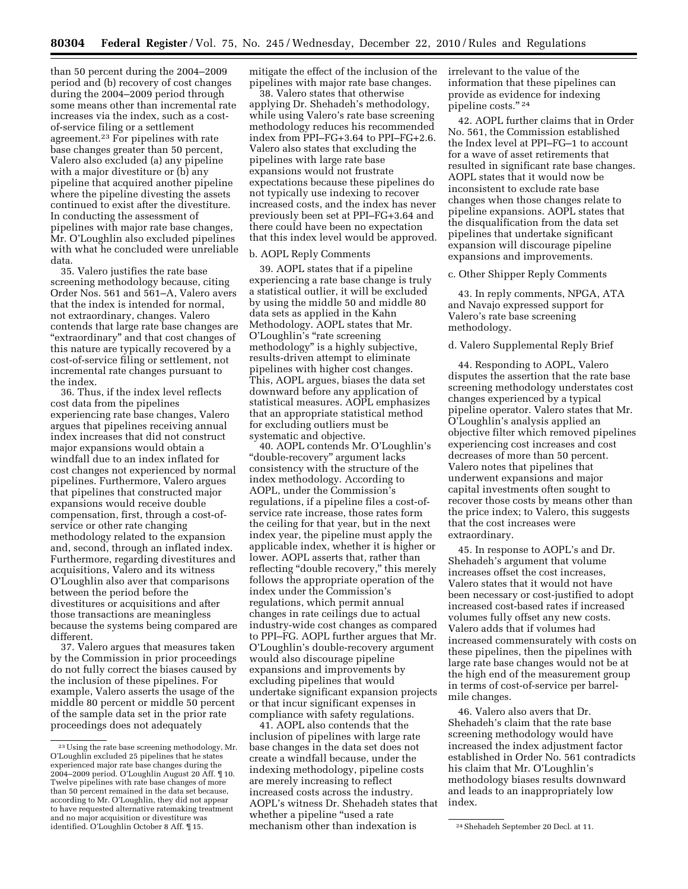than 50 percent during the 2004–2009 period and (b) recovery of cost changes during the 2004–2009 period through some means other than incremental rate increases via the index, such as a costof-service filing or a settlement agreement.23 For pipelines with rate base changes greater than 50 percent, Valero also excluded (a) any pipeline with a major divestiture or (b) any pipeline that acquired another pipeline where the pipeline divesting the assets continued to exist after the divestiture. In conducting the assessment of pipelines with major rate base changes, Mr. O'Loughlin also excluded pipelines with what he concluded were unreliable data.

35. Valero justifies the rate base screening methodology because, citing Order Nos. 561 and 561–A, Valero avers that the index is intended for normal, not extraordinary, changes. Valero contends that large rate base changes are "extraordinary" and that cost changes of this nature are typically recovered by a cost-of-service filing or settlement, not incremental rate changes pursuant to the index.

36. Thus, if the index level reflects cost data from the pipelines experiencing rate base changes, Valero argues that pipelines receiving annual index increases that did not construct major expansions would obtain a windfall due to an index inflated for cost changes not experienced by normal pipelines. Furthermore, Valero argues that pipelines that constructed major expansions would receive double compensation, first, through a cost-ofservice or other rate changing methodology related to the expansion and, second, through an inflated index. Furthermore, regarding divestitures and acquisitions, Valero and its witness O'Loughlin also aver that comparisons between the period before the divestitures or acquisitions and after those transactions are meaningless because the systems being compared are different.

37. Valero argues that measures taken by the Commission in prior proceedings do not fully correct the biases caused by the inclusion of these pipelines. For example, Valero asserts the usage of the middle 80 percent or middle 50 percent of the sample data set in the prior rate proceedings does not adequately

mitigate the effect of the inclusion of the pipelines with major rate base changes.

38. Valero states that otherwise applying Dr. Shehadeh's methodology, while using Valero's rate base screening methodology reduces his recommended index from PPI–FG+3.64 to PPI–FG+2.6. Valero also states that excluding the pipelines with large rate base expansions would not frustrate expectations because these pipelines do not typically use indexing to recover increased costs, and the index has never previously been set at PPI–FG+3.64 and there could have been no expectation that this index level would be approved.

## b. AOPL Reply Comments

39. AOPL states that if a pipeline experiencing a rate base change is truly a statistical outlier, it will be excluded by using the middle 50 and middle 80 data sets as applied in the Kahn Methodology. AOPL states that Mr. O'Loughlin's ''rate screening methodology" is a highly subjective, results-driven attempt to eliminate pipelines with higher cost changes. This, AOPL argues, biases the data set downward before any application of statistical measures. AOPL emphasizes that an appropriate statistical method for excluding outliers must be systematic and objective.

40. AOPL contends Mr. O'Loughlin's ''double-recovery'' argument lacks consistency with the structure of the index methodology. According to AOPL, under the Commission's regulations, if a pipeline files a cost-ofservice rate increase, those rates form the ceiling for that year, but in the next index year, the pipeline must apply the applicable index, whether it is higher or lower. AOPL asserts that, rather than reflecting "double recovery," this merely follows the appropriate operation of the index under the Commission's regulations, which permit annual changes in rate ceilings due to actual industry-wide cost changes as compared to PPI–FG. AOPL further argues that Mr. O'Loughlin's double-recovery argument would also discourage pipeline expansions and improvements by excluding pipelines that would undertake significant expansion projects or that incur significant expenses in compliance with safety regulations.

identified. O'Loughlin October 8 Aff. ¶15. 215 mechanism other than indexation is 24Shehadeh September 20 Decl. at 11. 41. AOPL also contends that the inclusion of pipelines with large rate base changes in the data set does not create a windfall because, under the indexing methodology, pipeline costs are merely increasing to reflect increased costs across the industry. AOPL's witness Dr. Shehadeh states that whether a pipeline "used a rate mechanism other than indexation is

irrelevant to the value of the information that these pipelines can provide as evidence for indexing pipeline costs." 24

42. AOPL further claims that in Order No. 561, the Commission established the Index level at PPI–FG–1 to account for a wave of asset retirements that resulted in significant rate base changes. AOPL states that it would now be inconsistent to exclude rate base changes when those changes relate to pipeline expansions. AOPL states that the disqualification from the data set pipelines that undertake significant expansion will discourage pipeline expansions and improvements.

#### c. Other Shipper Reply Comments

43. In reply comments, NPGA, ATA and Navajo expressed support for Valero's rate base screening methodology.

### d. Valero Supplemental Reply Brief

44. Responding to AOPL, Valero disputes the assertion that the rate base screening methodology understates cost changes experienced by a typical pipeline operator. Valero states that Mr. O'Loughlin's analysis applied an objective filter which removed pipelines experiencing cost increases and cost decreases of more than 50 percent. Valero notes that pipelines that underwent expansions and major capital investments often sought to recover those costs by means other than the price index; to Valero, this suggests that the cost increases were extraordinary.

45. In response to AOPL's and Dr. Shehadeh's argument that volume increases offset the cost increases, Valero states that it would not have been necessary or cost-justified to adopt increased cost-based rates if increased volumes fully offset any new costs. Valero adds that if volumes had increased commensurately with costs on these pipelines, then the pipelines with large rate base changes would not be at the high end of the measurement group in terms of cost-of-service per barrelmile changes.

46. Valero also avers that Dr. Shehadeh's claim that the rate base screening methodology would have increased the index adjustment factor established in Order No. 561 contradicts his claim that Mr. O'Loughlin's methodology biases results downward and leads to an inappropriately low index.

<sup>23</sup>Using the rate base screening methodology, Mr. O'Loughlin excluded 25 pipelines that he states experienced major rate base changes during the 2004–2009 period. O'Loughlin August 20 Aff. ¶ 10. Twelve pipelines with rate base changes of more than 50 percent remained in the data set because, according to Mr. O'Loughlin, they did not appear to have requested alternative ratemaking treatment and no major acquisition or divestiture was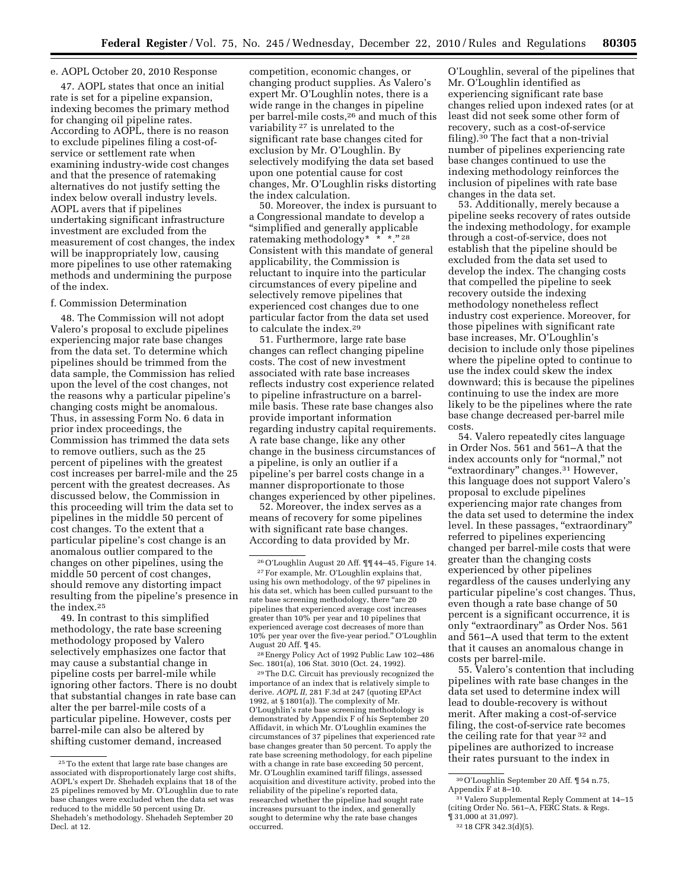# e. AOPL October 20, 2010 Response

47. AOPL states that once an initial rate is set for a pipeline expansion, indexing becomes the primary method for changing oil pipeline rates. According to AOPL, there is no reason to exclude pipelines filing a cost-ofservice or settlement rate when examining industry-wide cost changes and that the presence of ratemaking alternatives do not justify setting the index below overall industry levels. AOPL avers that if pipelines undertaking significant infrastructure investment are excluded from the measurement of cost changes, the index will be inappropriately low, causing more pipelines to use other ratemaking methods and undermining the purpose of the index.

### f. Commission Determination

48. The Commission will not adopt Valero's proposal to exclude pipelines experiencing major rate base changes from the data set. To determine which pipelines should be trimmed from the data sample, the Commission has relied upon the level of the cost changes, not the reasons why a particular pipeline's changing costs might be anomalous. Thus, in assessing Form No. 6 data in prior index proceedings, the Commission has trimmed the data sets to remove outliers, such as the 25 percent of pipelines with the greatest cost increases per barrel-mile and the 25 percent with the greatest decreases. As discussed below, the Commission in this proceeding will trim the data set to pipelines in the middle 50 percent of cost changes. To the extent that a particular pipeline's cost change is an anomalous outlier compared to the changes on other pipelines, using the middle 50 percent of cost changes, should remove any distorting impact resulting from the pipeline's presence in the index.25

49. In contrast to this simplified methodology, the rate base screening methodology proposed by Valero selectively emphasizes one factor that may cause a substantial change in pipeline costs per barrel-mile while ignoring other factors. There is no doubt that substantial changes in rate base can alter the per barrel-mile costs of a particular pipeline. However, costs per barrel-mile can also be altered by shifting customer demand, increased

competition, economic changes, or changing product supplies. As Valero's expert Mr. O'Loughlin notes, there is a wide range in the changes in pipeline per barrel-mile costs,26 and much of this variability 27 is unrelated to the significant rate base changes cited for exclusion by Mr. O'Loughlin. By selectively modifying the data set based upon one potential cause for cost changes, Mr. O'Loughlin risks distorting the index calculation.

50. Moreover, the index is pursuant to a Congressional mandate to develop a ''simplified and generally applicable ratemaking methodology\* \* \*.'' 28 Consistent with this mandate of general applicability, the Commission is reluctant to inquire into the particular circumstances of every pipeline and selectively remove pipelines that experienced cost changes due to one particular factor from the data set used to calculate the index.29

51. Furthermore, large rate base changes can reflect changing pipeline costs. The cost of new investment associated with rate base increases reflects industry cost experience related to pipeline infrastructure on a barrelmile basis. These rate base changes also provide important information regarding industry capital requirements. A rate base change, like any other change in the business circumstances of a pipeline, is only an outlier if a pipeline's per barrel costs change in a manner disproportionate to those changes experienced by other pipelines.

52. Moreover, the index serves as a means of recovery for some pipelines with significant rate base changes. According to data provided by Mr.

28Energy Policy Act of 1992 Public Law 102–486 Sec. 1801(a), 106 Stat. 3010 (Oct. 24, 1992).

29The D.C. Circuit has previously recognized the importance of an index that is relatively simple to derive. *AOPL II,* 281 F.3d at 247 (quoting EPAct 1992, at § 1801(a)). The complexity of Mr. O'Loughlin's rate base screening methodology is demonstrated by Appendix F of his September 20 Affidavit, in which Mr. O'Loughlin examines the circumstances of 37 pipelines that experienced rate base changes greater than 50 percent. To apply the rate base screening methodology, for each pipeline with a change in rate base exceeding 50 percent, Mr. O'Loughlin examined tariff filings, assessed acquisition and divestiture activity, probed into the reliability of the pipeline's reported data, researched whether the pipeline had sought rate increases pursuant to the index, and generally sought to determine why the rate base changes occurred.

O'Loughlin, several of the pipelines that Mr. O'Loughlin identified as experiencing significant rate base changes relied upon indexed rates (or at least did not seek some other form of recovery, such as a cost-of-service filing).30 The fact that a non-trivial number of pipelines experiencing rate base changes continued to use the indexing methodology reinforces the inclusion of pipelines with rate base changes in the data set.

53. Additionally, merely because a pipeline seeks recovery of rates outside the indexing methodology, for example through a cost-of-service, does not establish that the pipeline should be excluded from the data set used to develop the index. The changing costs that compelled the pipeline to seek recovery outside the indexing methodology nonetheless reflect industry cost experience. Moreover, for those pipelines with significant rate base increases, Mr. O'Loughlin's decision to include only those pipelines where the pipeline opted to continue to use the index could skew the index downward; this is because the pipelines continuing to use the index are more likely to be the pipelines where the rate base change decreased per-barrel mile costs.

54. Valero repeatedly cites language in Order Nos. 561 and 561–A that the index accounts only for "normal," not "extraordinary" changes.<sup>31</sup> However, this language does not support Valero's proposal to exclude pipelines experiencing major rate changes from the data set used to determine the index level. In these passages, "extraordinary" referred to pipelines experiencing changed per barrel-mile costs that were greater than the changing costs experienced by other pipelines regardless of the causes underlying any particular pipeline's cost changes. Thus, even though a rate base change of 50 percent is a significant occurrence, it is only "extraordinary" as Order Nos. 561 and 561–A used that term to the extent that it causes an anomalous change in costs per barrel-mile.

55. Valero's contention that including pipelines with rate base changes in the data set used to determine index will lead to double-recovery is without merit. After making a cost-of-service filing, the cost-of-service rate becomes the ceiling rate for that year 32 and pipelines are authorized to increase their rates pursuant to the index in

<sup>25</sup>To the extent that large rate base changes are associated with disproportionately large cost shifts, AOPL's expert Dr. Shehadeh explains that 18 of the 25 pipelines removed by Mr. O'Loughlin due to rate base changes were excluded when the data set was reduced to the middle 50 percent using Dr. Shehadeh's methodology. Shehadeh September 20 Decl. at 12.

<sup>26</sup>O'Loughlin August 20 Aff. ¶¶ 44–45, Figure 14. 27For example, Mr. O'Loughlin explains that,

using his own methodology, of the 97 pipelines in his data set, which has been culled pursuant to the rate base screening methodology, there "are 20 pipelines that experienced average cost increases greater than 10% per year and 10 pipelines that experienced average cost decreases of more than 10% per year over the five-year period.'' O'Loughlin August 20 Aff. ¶ 45.

 $^{30}\mathrm{O}'$  Loughlin September 20 Aff. ¶ 54 n.75, Appendix F at 8–10. 31 Valero Supplemental Reply Comment at 14–15

<sup>(</sup>citing Order No. 561–A, FERC Stats. & Regs.  $\P$  31,000 at 31,097).

<sup>32 18</sup> CFR 342.3(d)(5).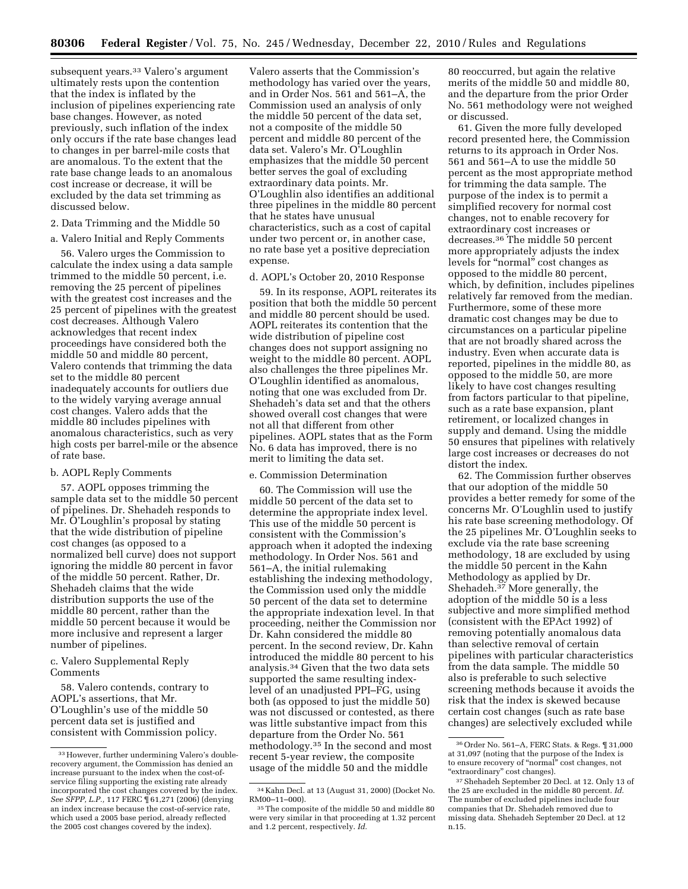subsequent years.<sup>33</sup> Valero's argument ultimately rests upon the contention that the index is inflated by the inclusion of pipelines experiencing rate base changes. However, as noted previously, such inflation of the index only occurs if the rate base changes lead to changes in per barrel-mile costs that are anomalous. To the extent that the rate base change leads to an anomalous cost increase or decrease, it will be excluded by the data set trimming as discussed below.

# 2. Data Trimming and the Middle 50

a. Valero Initial and Reply Comments

56. Valero urges the Commission to calculate the index using a data sample trimmed to the middle 50 percent, i.e. removing the 25 percent of pipelines with the greatest cost increases and the 25 percent of pipelines with the greatest cost decreases. Although Valero acknowledges that recent index proceedings have considered both the middle 50 and middle 80 percent, Valero contends that trimming the data set to the middle 80 percent inadequately accounts for outliers due to the widely varying average annual cost changes. Valero adds that the middle 80 includes pipelines with anomalous characteristics, such as very high costs per barrel-mile or the absence of rate base.

### b. AOPL Reply Comments

57. AOPL opposes trimming the sample data set to the middle 50 percent of pipelines. Dr. Shehadeh responds to Mr. O'Loughlin's proposal by stating that the wide distribution of pipeline cost changes (as opposed to a normalized bell curve) does not support ignoring the middle 80 percent in favor of the middle 50 percent. Rather, Dr. Shehadeh claims that the wide distribution supports the use of the middle 80 percent, rather than the middle 50 percent because it would be more inclusive and represent a larger number of pipelines.

c. Valero Supplemental Reply Comments

58. Valero contends, contrary to AOPL's assertions, that Mr. O'Loughlin's use of the middle 50 percent data set is justified and consistent with Commission policy.

Valero asserts that the Commission's methodology has varied over the years, and in Order Nos. 561 and 561–A, the Commission used an analysis of only the middle 50 percent of the data set, not a composite of the middle 50 percent and middle 80 percent of the data set. Valero's Mr. O'Loughlin emphasizes that the middle 50 percent better serves the goal of excluding extraordinary data points. Mr. O'Loughlin also identifies an additional three pipelines in the middle 80 percent that he states have unusual characteristics, such as a cost of capital under two percent or, in another case, no rate base yet a positive depreciation expense.

### d. AOPL's October 20, 2010 Response

59. In its response, AOPL reiterates its position that both the middle 50 percent and middle 80 percent should be used. AOPL reiterates its contention that the wide distribution of pipeline cost changes does not support assigning no weight to the middle 80 percent. AOPL also challenges the three pipelines Mr. O'Loughlin identified as anomalous, noting that one was excluded from Dr. Shehadeh's data set and that the others showed overall cost changes that were not all that different from other pipelines. AOPL states that as the Form No. 6 data has improved, there is no merit to limiting the data set.

### e. Commission Determination

60. The Commission will use the middle 50 percent of the data set to determine the appropriate index level. This use of the middle 50 percent is consistent with the Commission's approach when it adopted the indexing methodology. In Order Nos. 561 and 561–A, the initial rulemaking establishing the indexing methodology, the Commission used only the middle 50 percent of the data set to determine the appropriate indexation level. In that proceeding, neither the Commission nor Dr. Kahn considered the middle 80 percent. In the second review, Dr. Kahn introduced the middle 80 percent to his analysis.34 Given that the two data sets supported the same resulting indexlevel of an unadjusted PPI–FG, using both (as opposed to just the middle 50) was not discussed or contested, as there was little substantive impact from this departure from the Order No. 561 methodology.35 In the second and most recent 5-year review, the composite usage of the middle 50 and the middle

80 reoccurred, but again the relative merits of the middle 50 and middle 80, and the departure from the prior Order No. 561 methodology were not weighed or discussed.

61. Given the more fully developed record presented here, the Commission returns to its approach in Order Nos. 561 and 561–A to use the middle 50 percent as the most appropriate method for trimming the data sample. The purpose of the index is to permit a simplified recovery for normal cost changes, not to enable recovery for extraordinary cost increases or decreases.36 The middle 50 percent more appropriately adjusts the index levels for "normal" cost changes as opposed to the middle 80 percent, which, by definition, includes pipelines relatively far removed from the median. Furthermore, some of these more dramatic cost changes may be due to circumstances on a particular pipeline that are not broadly shared across the industry. Even when accurate data is reported, pipelines in the middle 80, as opposed to the middle 50, are more likely to have cost changes resulting from factors particular to that pipeline, such as a rate base expansion, plant retirement, or localized changes in supply and demand. Using the middle 50 ensures that pipelines with relatively large cost increases or decreases do not distort the index.

62. The Commission further observes that our adoption of the middle 50 provides a better remedy for some of the concerns Mr. O'Loughlin used to justify his rate base screening methodology. Of the 25 pipelines Mr. O'Loughlin seeks to exclude via the rate base screening methodology, 18 are excluded by using the middle 50 percent in the Kahn Methodology as applied by Dr. Shehadeh.37 More generally, the adoption of the middle 50 is a less subjective and more simplified method (consistent with the EPAct 1992) of removing potentially anomalous data than selective removal of certain pipelines with particular characteristics from the data sample. The middle 50 also is preferable to such selective screening methods because it avoids the risk that the index is skewed because certain cost changes (such as rate base changes) are selectively excluded while

<sup>33</sup>However, further undermining Valero's doublerecovery argument, the Commission has denied an increase pursuant to the index when the cost-ofservice filing supporting the existing rate already incorporated the cost changes covered by the index. *See SFPP, L.P.,* 117 FERC ¶ 61,271 (2006) (denying an index increase because the cost-of-service rate, which used a 2005 base period, already reflected the 2005 cost changes covered by the index).

<sup>34</sup> Kahn Decl. at 13 (August 31, 2000) (Docket No.

<sup>&</sup>lt;sup>35</sup> The composite of the middle 50 and middle 80 were very similar in that proceeding at 1.32 percent and 1.2 percent, respectively. *Id.* 

<sup>36</sup>Order No. 561–A, FERC Stats. & Regs. ¶ 31,000 at 31,097 (noting that the purpose of the Index is to ensure recovery of ''normal'' cost changes, not "extraordinary" cost changes).

<sup>37</sup>Shehadeh September 20 Decl. at 12. Only 13 of the 25 are excluded in the middle 80 percent. *Id.*  The number of excluded pipelines include four companies that Dr. Shehadeh removed due to missing data. Shehadeh September 20 Decl. at 12 n.15.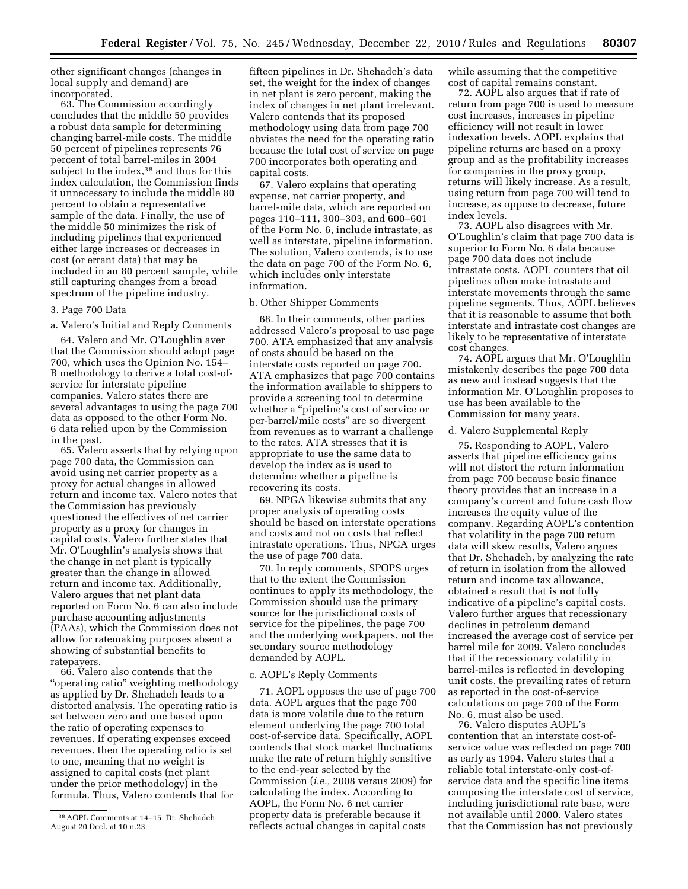other significant changes (changes in local supply and demand) are incorporated.

63. The Commission accordingly concludes that the middle 50 provides a robust data sample for determining changing barrel-mile costs. The middle 50 percent of pipelines represents 76 percent of total barrel-miles in 2004 subject to the index,<sup>38</sup> and thus for this index calculation, the Commission finds it unnecessary to include the middle 80 percent to obtain a representative sample of the data. Finally, the use of the middle 50 minimizes the risk of including pipelines that experienced either large increases or decreases in cost (or errant data) that may be included in an 80 percent sample, while still capturing changes from a broad spectrum of the pipeline industry.

#### 3. Page 700 Data

a. Valero's Initial and Reply Comments

64. Valero and Mr. O'Loughlin aver that the Commission should adopt page 700, which uses the Opinion No. 154– B methodology to derive a total cost-ofservice for interstate pipeline companies. Valero states there are several advantages to using the page 700 data as opposed to the other Form No. 6 data relied upon by the Commission in the past.

65. Valero asserts that by relying upon page 700 data, the Commission can avoid using net carrier property as a proxy for actual changes in allowed return and income tax. Valero notes that the Commission has previously questioned the effectives of net carrier property as a proxy for changes in capital costs. Valero further states that Mr. O'Loughlin's analysis shows that the change in net plant is typically greater than the change in allowed return and income tax. Additionally, Valero argues that net plant data reported on Form No. 6 can also include purchase accounting adjustments (PAAs), which the Commission does not allow for ratemaking purposes absent a showing of substantial benefits to ratepayers.

66. Valero also contends that the ''operating ratio'' weighting methodology as applied by Dr. Shehadeh leads to a distorted analysis. The operating ratio is set between zero and one based upon the ratio of operating expenses to revenues. If operating expenses exceed revenues, then the operating ratio is set to one, meaning that no weight is assigned to capital costs (net plant under the prior methodology) in the formula. Thus, Valero contends that for

fifteen pipelines in Dr. Shehadeh's data set, the weight for the index of changes in net plant is zero percent, making the index of changes in net plant irrelevant. Valero contends that its proposed methodology using data from page 700 obviates the need for the operating ratio because the total cost of service on page 700 incorporates both operating and capital costs.

67. Valero explains that operating expense, net carrier property, and barrel-mile data, which are reported on pages 110–111, 300–303, and 600–601 of the Form No. 6, include intrastate, as well as interstate, pipeline information. The solution, Valero contends, is to use the data on page 700 of the Form No. 6, which includes only interstate information.

### b. Other Shipper Comments

68. In their comments, other parties addressed Valero's proposal to use page 700. ATA emphasized that any analysis of costs should be based on the interstate costs reported on page 700. ATA emphasizes that page 700 contains the information available to shippers to provide a screening tool to determine whether a ''pipeline's cost of service or per-barrel/mile costs'' are so divergent from revenues as to warrant a challenge to the rates. ATA stresses that it is appropriate to use the same data to develop the index as is used to determine whether a pipeline is recovering its costs.

69. NPGA likewise submits that any proper analysis of operating costs should be based on interstate operations and costs and not on costs that reflect intrastate operations. Thus, NPGA urges the use of page 700 data.

70. In reply comments, SPOPS urges that to the extent the Commission continues to apply its methodology, the Commission should use the primary source for the jurisdictional costs of service for the pipelines, the page 700 and the underlying workpapers, not the secondary source methodology demanded by AOPL.

### c. AOPL's Reply Comments

71. AOPL opposes the use of page 700 data. AOPL argues that the page 700 data is more volatile due to the return element underlying the page 700 total cost-of-service data. Specifically, AOPL contends that stock market fluctuations make the rate of return highly sensitive to the end-year selected by the Commission (*i.e.,* 2008 versus 2009) for calculating the index. According to AOPL, the Form No. 6 net carrier property data is preferable because it reflects actual changes in capital costs

while assuming that the competitive cost of capital remains constant.

72. AOPL also argues that if rate of return from page 700 is used to measure cost increases, increases in pipeline efficiency will not result in lower indexation levels. AOPL explains that pipeline returns are based on a proxy group and as the profitability increases for companies in the proxy group, returns will likely increase. As a result, using return from page 700 will tend to increase, as oppose to decrease, future index levels.

73. AOPL also disagrees with Mr. O'Loughlin's claim that page 700 data is superior to Form No. 6 data because page 700 data does not include intrastate costs. AOPL counters that oil pipelines often make intrastate and interstate movements through the same pipeline segments. Thus, AOPL believes that it is reasonable to assume that both interstate and intrastate cost changes are likely to be representative of interstate cost changes.

74. AOPL argues that Mr. O'Loughlin mistakenly describes the page 700 data as new and instead suggests that the information Mr. O'Loughlin proposes to use has been available to the Commission for many years.

# d. Valero Supplemental Reply

75. Responding to AOPL, Valero asserts that pipeline efficiency gains will not distort the return information from page 700 because basic finance theory provides that an increase in a company's current and future cash flow increases the equity value of the company. Regarding AOPL's contention that volatility in the page 700 return data will skew results, Valero argues that Dr. Shehadeh, by analyzing the rate of return in isolation from the allowed return and income tax allowance, obtained a result that is not fully indicative of a pipeline's capital costs. Valero further argues that recessionary declines in petroleum demand increased the average cost of service per barrel mile for 2009. Valero concludes that if the recessionary volatility in barrel-miles is reflected in developing unit costs, the prevailing rates of return as reported in the cost-of-service calculations on page 700 of the Form No. 6, must also be used.

76. Valero disputes AOPL's contention that an interstate cost-ofservice value was reflected on page 700 as early as 1994. Valero states that a reliable total interstate-only cost-ofservice data and the specific line items composing the interstate cost of service, including jurisdictional rate base, were not available until 2000. Valero states that the Commission has not previously

<sup>38</sup>AOPL Comments at 14–15; Dr. Shehadeh August 20 Decl. at 10 n.23.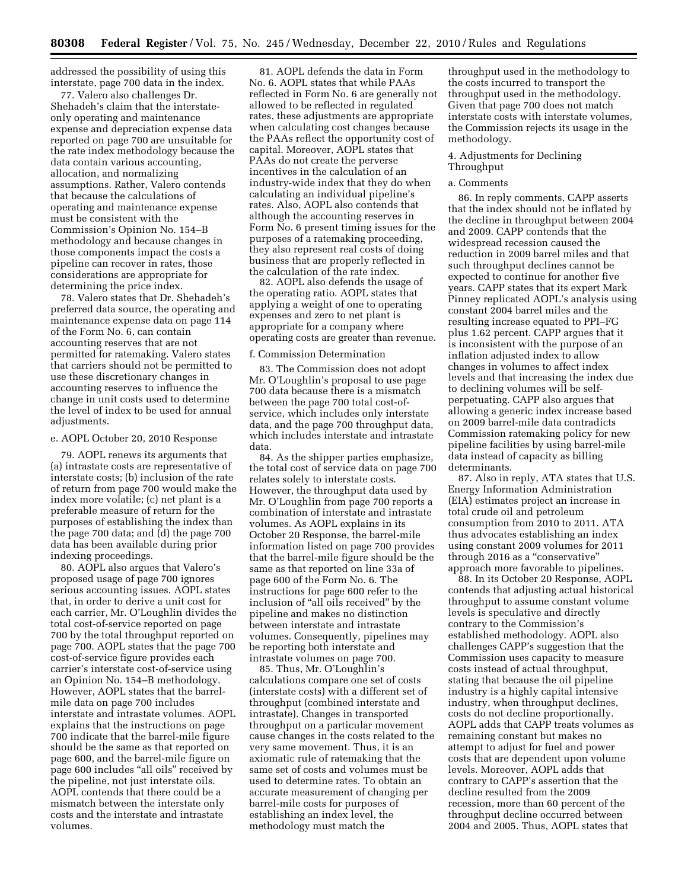addressed the possibility of using this interstate, page 700 data in the index.

77. Valero also challenges Dr. Shehadeh's claim that the interstateonly operating and maintenance expense and depreciation expense data reported on page 700 are unsuitable for the rate index methodology because the data contain various accounting, allocation, and normalizing assumptions. Rather, Valero contends that because the calculations of operating and maintenance expense must be consistent with the Commission's Opinion No. 154–B methodology and because changes in those components impact the costs a pipeline can recover in rates, those considerations are appropriate for determining the price index.

78. Valero states that Dr. Shehadeh's preferred data source, the operating and maintenance expense data on page 114 of the Form No. 6, can contain accounting reserves that are not permitted for ratemaking. Valero states that carriers should not be permitted to use these discretionary changes in accounting reserves to influence the change in unit costs used to determine the level of index to be used for annual adjustments.

### e. AOPL October 20, 2010 Response

79. AOPL renews its arguments that (a) intrastate costs are representative of interstate costs; (b) inclusion of the rate of return from page 700 would make the index more volatile; (c) net plant is a preferable measure of return for the purposes of establishing the index than the page 700 data; and (d) the page 700 data has been available during prior indexing proceedings.

80. AOPL also argues that Valero's proposed usage of page 700 ignores serious accounting issues. AOPL states that, in order to derive a unit cost for each carrier, Mr. O'Loughlin divides the total cost-of-service reported on page 700 by the total throughput reported on page 700. AOPL states that the page 700 cost-of-service figure provides each carrier's interstate cost-of-service using an Opinion No. 154–B methodology. However, AOPL states that the barrelmile data on page 700 includes interstate and intrastate volumes. AOPL explains that the instructions on page 700 indicate that the barrel-mile figure should be the same as that reported on page 600, and the barrel-mile figure on page 600 includes "all oils" received by the pipeline, not just interstate oils. AOPL contends that there could be a mismatch between the interstate only costs and the interstate and intrastate volumes.

81. AOPL defends the data in Form No. 6. AOPL states that while PAAs reflected in Form No. 6 are generally not allowed to be reflected in regulated rates, these adjustments are appropriate when calculating cost changes because the PAAs reflect the opportunity cost of capital. Moreover, AOPL states that PAAs do not create the perverse incentives in the calculation of an industry-wide index that they do when calculating an individual pipeline's rates. Also, AOPL also contends that although the accounting reserves in Form No. 6 present timing issues for the purposes of a ratemaking proceeding, they also represent real costs of doing business that are properly reflected in the calculation of the rate index.

82. AOPL also defends the usage of the operating ratio. AOPL states that applying a weight of one to operating expenses and zero to net plant is appropriate for a company where operating costs are greater than revenue.

#### f. Commission Determination

83. The Commission does not adopt Mr. O'Loughlin's proposal to use page 700 data because there is a mismatch between the page 700 total cost-ofservice, which includes only interstate data, and the page 700 throughput data, which includes interstate and intrastate data.

84. As the shipper parties emphasize, the total cost of service data on page 700 relates solely to interstate costs. However, the throughput data used by Mr. O'Loughlin from page 700 reports a combination of interstate and intrastate volumes. As AOPL explains in its October 20 Response, the barrel-mile information listed on page 700 provides that the barrel-mile figure should be the same as that reported on line 33a of page 600 of the Form No. 6. The instructions for page 600 refer to the inclusion of "all oils received" by the pipeline and makes no distinction between interstate and intrastate volumes. Consequently, pipelines may be reporting both interstate and intrastate volumes on page 700.

85. Thus, Mr. O'Loughlin's calculations compare one set of costs (interstate costs) with a different set of throughput (combined interstate and intrastate). Changes in transported throughput on a particular movement cause changes in the costs related to the very same movement. Thus, it is an axiomatic rule of ratemaking that the same set of costs and volumes must be used to determine rates. To obtain an accurate measurement of changing per barrel-mile costs for purposes of establishing an index level, the methodology must match the

throughput used in the methodology to the costs incurred to transport the throughput used in the methodology. Given that page 700 does not match interstate costs with interstate volumes, the Commission rejects its usage in the methodology.

# 4. Adjustments for Declining Throughput

#### a. Comments

86. In reply comments, CAPP asserts that the index should not be inflated by the decline in throughput between 2004 and 2009. CAPP contends that the widespread recession caused the reduction in 2009 barrel miles and that such throughput declines cannot be expected to continue for another five years. CAPP states that its expert Mark Pinney replicated AOPL's analysis using constant 2004 barrel miles and the resulting increase equated to PPI–FG plus 1.62 percent. CAPP argues that it is inconsistent with the purpose of an inflation adjusted index to allow changes in volumes to affect index levels and that increasing the index due to declining volumes will be selfperpetuating. CAPP also argues that allowing a generic index increase based on 2009 barrel-mile data contradicts Commission ratemaking policy for new pipeline facilities by using barrel-mile data instead of capacity as billing determinants.

87. Also in reply, ATA states that U.S. Energy Information Administration (EIA) estimates project an increase in total crude oil and petroleum consumption from 2010 to 2011. ATA thus advocates establishing an index using constant 2009 volumes for 2011 through 2016 as a ''conservative'' approach more favorable to pipelines.

88. In its October 20 Response, AOPL contends that adjusting actual historical throughput to assume constant volume levels is speculative and directly contrary to the Commission's established methodology. AOPL also challenges CAPP's suggestion that the Commission uses capacity to measure costs instead of actual throughput, stating that because the oil pipeline industry is a highly capital intensive industry, when throughput declines, costs do not decline proportionally. AOPL adds that CAPP treats volumes as remaining constant but makes no attempt to adjust for fuel and power costs that are dependent upon volume levels. Moreover, AOPL adds that contrary to CAPP's assertion that the decline resulted from the 2009 recession, more than 60 percent of the throughput decline occurred between 2004 and 2005. Thus, AOPL states that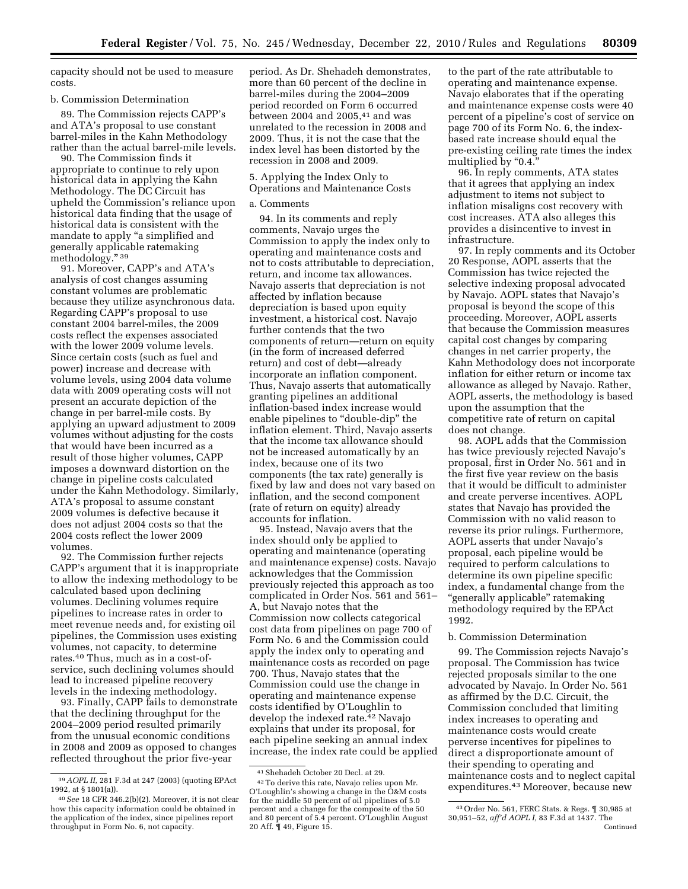capacity should not be used to measure costs.

#### b. Commission Determination

89. The Commission rejects CAPP's and ATA's proposal to use constant barrel-miles in the Kahn Methodology rather than the actual barrel-mile levels.

90. The Commission finds it appropriate to continue to rely upon historical data in applying the Kahn Methodology. The DC Circuit has upheld the Commission's reliance upon historical data finding that the usage of historical data is consistent with the mandate to apply "a simplified and generally applicable ratemaking methodology.'' 39

91. Moreover, CAPP's and ATA's analysis of cost changes assuming constant volumes are problematic because they utilize asynchronous data. Regarding CAPP's proposal to use constant 2004 barrel-miles, the 2009 costs reflect the expenses associated with the lower 2009 volume levels. Since certain costs (such as fuel and power) increase and decrease with volume levels, using 2004 data volume data with 2009 operating costs will not present an accurate depiction of the change in per barrel-mile costs. By applying an upward adjustment to 2009 volumes without adjusting for the costs that would have been incurred as a result of those higher volumes, CAPP imposes a downward distortion on the change in pipeline costs calculated under the Kahn Methodology. Similarly, ATA's proposal to assume constant 2009 volumes is defective because it does not adjust 2004 costs so that the 2004 costs reflect the lower 2009 volumes.

92. The Commission further rejects CAPP's argument that it is inappropriate to allow the indexing methodology to be calculated based upon declining volumes. Declining volumes require pipelines to increase rates in order to meet revenue needs and, for existing oil pipelines, the Commission uses existing volumes, not capacity, to determine rates.40 Thus, much as in a cost-ofservice, such declining volumes should lead to increased pipeline recovery levels in the indexing methodology.

93. Finally, CAPP fails to demonstrate that the declining throughput for the 2004–2009 period resulted primarily from the unusual economic conditions in 2008 and 2009 as opposed to changes reflected throughout the prior five-year

period. As Dr. Shehadeh demonstrates, more than 60 percent of the decline in barrel-miles during the 2004–2009 period recorded on Form 6 occurred between 2004 and 2005. $41$  and was unrelated to the recession in 2008 and 2009. Thus, it is not the case that the index level has been distorted by the recession in 2008 and 2009.

5. Applying the Index Only to Operations and Maintenance Costs

# a. Comments

94. In its comments and reply comments, Navajo urges the Commission to apply the index only to operating and maintenance costs and not to costs attributable to depreciation, return, and income tax allowances. Navajo asserts that depreciation is not affected by inflation because depreciation is based upon equity investment, a historical cost. Navajo further contends that the two components of return—return on equity (in the form of increased deferred return) and cost of debt—already incorporate an inflation component. Thus, Navajo asserts that automatically granting pipelines an additional inflation-based index increase would enable pipelines to "double-dip" the inflation element. Third, Navajo asserts that the income tax allowance should not be increased automatically by an index, because one of its two components (the tax rate) generally is fixed by law and does not vary based on inflation, and the second component (rate of return on equity) already accounts for inflation.

95. Instead, Navajo avers that the index should only be applied to operating and maintenance (operating and maintenance expense) costs. Navajo acknowledges that the Commission previously rejected this approach as too complicated in Order Nos. 561 and 561– A, but Navajo notes that the Commission now collects categorical cost data from pipelines on page 700 of Form No. 6 and the Commission could apply the index only to operating and maintenance costs as recorded on page 700. Thus, Navajo states that the Commission could use the change in operating and maintenance expense costs identified by O'Loughlin to develop the indexed rate.42 Navajo explains that under its proposal, for each pipeline seeking an annual index increase, the index rate could be applied to the part of the rate attributable to operating and maintenance expense. Navajo elaborates that if the operating and maintenance expense costs were 40 percent of a pipeline's cost of service on page 700 of its Form No. 6, the indexbased rate increase should equal the pre-existing ceiling rate times the index multiplied by "0.4."

96. In reply comments, ATA states that it agrees that applying an index adjustment to items not subject to inflation misaligns cost recovery with cost increases. ATA also alleges this provides a disincentive to invest in infrastructure.

97. In reply comments and its October 20 Response, AOPL asserts that the Commission has twice rejected the selective indexing proposal advocated by Navajo. AOPL states that Navajo's proposal is beyond the scope of this proceeding. Moreover, AOPL asserts that because the Commission measures capital cost changes by comparing changes in net carrier property, the Kahn Methodology does not incorporate inflation for either return or income tax allowance as alleged by Navajo. Rather, AOPL asserts, the methodology is based upon the assumption that the competitive rate of return on capital does not change.

98. AOPL adds that the Commission has twice previously rejected Navajo's proposal, first in Order No. 561 and in the first five year review on the basis that it would be difficult to administer and create perverse incentives. AOPL states that Navajo has provided the Commission with no valid reason to reverse its prior rulings. Furthermore, AOPL asserts that under Navajo's proposal, each pipeline would be required to perform calculations to determine its own pipeline specific index, a fundamental change from the ''generally applicable'' ratemaking methodology required by the EPAct 1992.

### b. Commission Determination

99. The Commission rejects Navajo's proposal. The Commission has twice rejected proposals similar to the one advocated by Navajo. In Order No. 561 as affirmed by the D.C. Circuit, the Commission concluded that limiting index increases to operating and maintenance costs would create perverse incentives for pipelines to direct a disproportionate amount of their spending to operating and maintenance costs and to neglect capital expenditures.43 Moreover, because new

<sup>39</sup>*AOPL II,* 281 F.3d at 247 (2003) (quoting EPAct 1992, at § 1801(a)).

<sup>40</sup>*See* 18 CFR 346.2(b)(2). Moreover, it is not clear how this capacity information could be obtained in the application of the index, since pipelines report throughput in Form No. 6, not capacity.

<sup>41</sup>Shehadeh October 20 Decl. at 29. 42To derive this rate, Navajo relies upon Mr. O'Loughlin's showing a change in the O&M costs for the middle 50 percent of oil pipelines of 5.0 percent and a change for the composite of the 50 and 80 percent of 5.4 percent. O'Loughlin August 20 Aff. ¶ 49, Figure 15.

<sup>43</sup>Order No. 561, FERC Stats. & Regs. ¶ 30,985 at 30,951–52, *aff'd AOPL I,* 83 F.3d at 1437. The Continued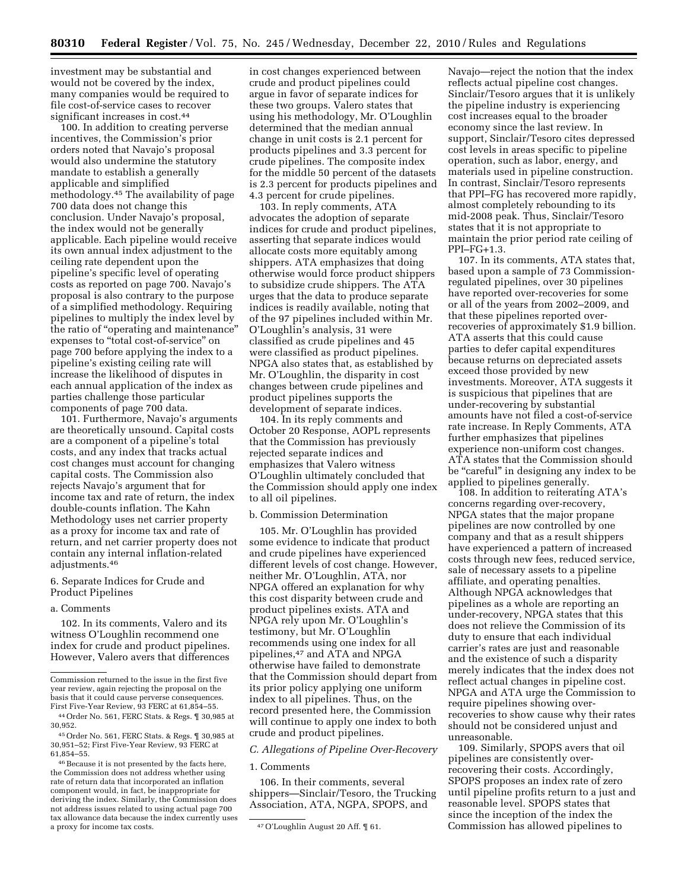investment may be substantial and would not be covered by the index, many companies would be required to file cost-of-service cases to recover significant increases in cost.<sup>44</sup>

100. In addition to creating perverse incentives, the Commission's prior orders noted that Navajo's proposal would also undermine the statutory mandate to establish a generally applicable and simplified methodology.45 The availability of page 700 data does not change this conclusion. Under Navajo's proposal, the index would not be generally applicable. Each pipeline would receive its own annual index adjustment to the ceiling rate dependent upon the pipeline's specific level of operating costs as reported on page 700. Navajo's proposal is also contrary to the purpose of a simplified methodology. Requiring pipelines to multiply the index level by the ratio of ''operating and maintenance'' expenses to ''total cost-of-service'' on page 700 before applying the index to a pipeline's existing ceiling rate will increase the likelihood of disputes in each annual application of the index as parties challenge those particular components of page 700 data.

101. Furthermore, Navajo's arguments are theoretically unsound. Capital costs are a component of a pipeline's total costs, and any index that tracks actual cost changes must account for changing capital costs. The Commission also rejects Navajo's argument that for income tax and rate of return, the index double-counts inflation. The Kahn Methodology uses net carrier property as a proxy for income tax and rate of return, and net carrier property does not contain any internal inflation-related adjustments.46

### 6. Separate Indices for Crude and Product Pipelines

#### a. Comments

102. In its comments, Valero and its witness O'Loughlin recommend one index for crude and product pipelines. However, Valero avers that differences in cost changes experienced between crude and product pipelines could argue in favor of separate indices for these two groups. Valero states that using his methodology, Mr. O'Loughlin determined that the median annual change in unit costs is 2.1 percent for products pipelines and 3.3 percent for crude pipelines. The composite index for the middle 50 percent of the datasets is 2.3 percent for products pipelines and 4.3 percent for crude pipelines.

103. In reply comments, ATA advocates the adoption of separate indices for crude and product pipelines, asserting that separate indices would allocate costs more equitably among shippers. ATA emphasizes that doing otherwise would force product shippers to subsidize crude shippers. The ATA urges that the data to produce separate indices is readily available, noting that of the 97 pipelines included within Mr. O'Loughlin's analysis, 31 were classified as crude pipelines and 45 were classified as product pipelines. NPGA also states that, as established by Mr. O'Loughlin, the disparity in cost changes between crude pipelines and product pipelines supports the development of separate indices.

104. In its reply comments and October 20 Response, AOPL represents that the Commission has previously rejected separate indices and emphasizes that Valero witness O'Loughlin ultimately concluded that the Commission should apply one index to all oil pipelines.

# b. Commission Determination

105. Mr. O'Loughlin has provided some evidence to indicate that product and crude pipelines have experienced different levels of cost change. However, neither Mr. O'Loughlin, ATA, nor NPGA offered an explanation for why this cost disparity between crude and product pipelines exists. ATA and NPGA rely upon Mr. O'Loughlin's testimony, but Mr. O'Loughlin recommends using one index for all pipelines,47 and ATA and NPGA otherwise have failed to demonstrate that the Commission should depart from its prior policy applying one uniform index to all pipelines. Thus, on the record presented here, the Commission will continue to apply one index to both crude and product pipelines.

# *C. Allegations of Pipeline Over-Recovery*

### 1. Comments

106. In their comments, several shippers—Sinclair/Tesoro, the Trucking Association, ATA, NGPA, SPOPS, and

Navajo—reject the notion that the index reflects actual pipeline cost changes. Sinclair/Tesoro argues that it is unlikely the pipeline industry is experiencing cost increases equal to the broader economy since the last review. In support, Sinclair/Tesoro cites depressed cost levels in areas specific to pipeline operation, such as labor, energy, and materials used in pipeline construction. In contrast, Sinclair/Tesoro represents that PPI–FG has recovered more rapidly, almost completely rebounding to its mid-2008 peak. Thus, Sinclair/Tesoro states that it is not appropriate to maintain the prior period rate ceiling of PPI–FG+1.3.

107. In its comments, ATA states that, based upon a sample of 73 Commissionregulated pipelines, over 30 pipelines have reported over-recoveries for some or all of the years from 2002–2009, and that these pipelines reported overrecoveries of approximately \$1.9 billion. ATA asserts that this could cause parties to defer capital expenditures because returns on depreciated assets exceed those provided by new investments. Moreover, ATA suggests it is suspicious that pipelines that are under-recovering by substantial amounts have not filed a cost-of-service rate increase. In Reply Comments, ATA further emphasizes that pipelines experience non-uniform cost changes. ATA states that the Commission should be ''careful'' in designing any index to be applied to pipelines generally.

108. In addition to reiterating ATA's concerns regarding over-recovery, NPGA states that the major propane pipelines are now controlled by one company and that as a result shippers have experienced a pattern of increased costs through new fees, reduced service, sale of necessary assets to a pipeline affiliate, and operating penalties. Although NPGA acknowledges that pipelines as a whole are reporting an under-recovery, NPGA states that this does not relieve the Commission of its duty to ensure that each individual carrier's rates are just and reasonable and the existence of such a disparity merely indicates that the index does not reflect actual changes in pipeline cost. NPGA and ATA urge the Commission to require pipelines showing overrecoveries to show cause why their rates should not be considered unjust and unreasonable.

109. Similarly, SPOPS avers that oil pipelines are consistently overrecovering their costs. Accordingly, SPOPS proposes an index rate of zero until pipeline profits return to a just and reasonable level. SPOPS states that since the inception of the index the Commission has allowed pipelines to

Commission returned to the issue in the first five year review, again rejecting the proposal on the basis that it could cause perverse consequences. First Five-Year Review, 93 FERC at 61,854–55.

<sup>44</sup>Order No. 561, FERC Stats. & Regs. ¶ 30,985 at 30,952.

<sup>45</sup>Order No. 561, FERC Stats. & Regs. ¶ 30,985 at 30,951–52; First Five-Year Review, 93 FERC at 61,854–55.

<sup>46</sup>Because it is not presented by the facts here, the Commission does not address whether using rate of return data that incorporated an inflation component would, in fact, be inappropriate for deriving the index. Similarly, the Commission does not address issues related to using actual page 700 tax allowance data because the index currently uses

<sup>47</sup> O'Loughlin August 20 Aff. [ 61.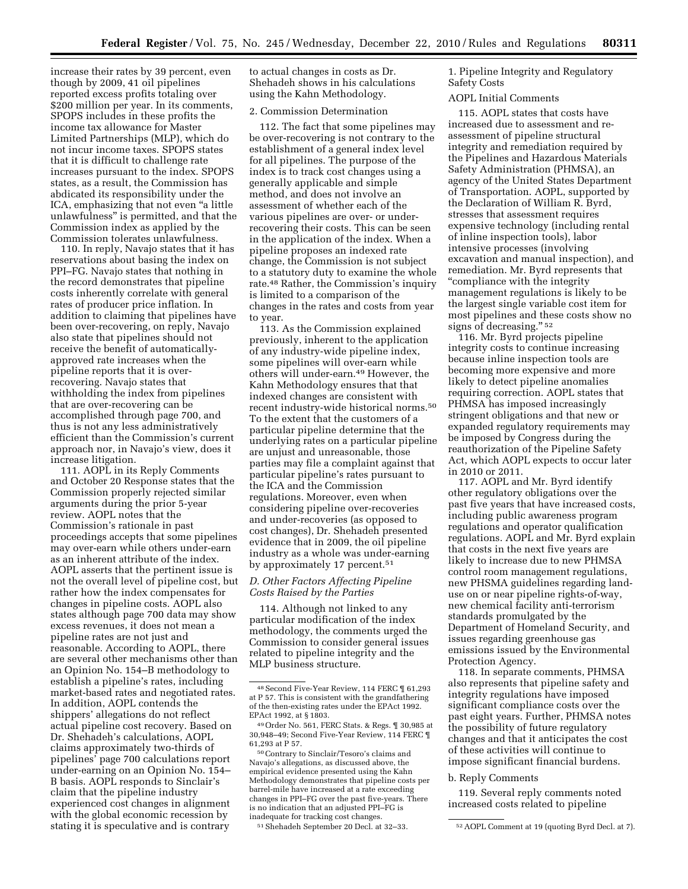increase their rates by 39 percent, even though by 2009, 41 oil pipelines reported excess profits totaling over \$200 million per year. In its comments, SPOPS includes in these profits the income tax allowance for Master Limited Partnerships (MLP), which do not incur income taxes. SPOPS states that it is difficult to challenge rate increases pursuant to the index. SPOPS states, as a result, the Commission has abdicated its responsibility under the ICA, emphasizing that not even "a little unlawfulness'' is permitted, and that the Commission index as applied by the Commission tolerates unlawfulness.

110. In reply, Navajo states that it has reservations about basing the index on PPI–FG. Navajo states that nothing in the record demonstrates that pipeline costs inherently correlate with general rates of producer price inflation. In addition to claiming that pipelines have been over-recovering, on reply, Navajo also state that pipelines should not receive the benefit of automaticallyapproved rate increases when the pipeline reports that it is overrecovering. Navajo states that withholding the index from pipelines that are over-recovering can be accomplished through page 700, and thus is not any less administratively efficient than the Commission's current approach nor, in Navajo's view, does it increase litigation.

111. AOPL in its Reply Comments and October 20 Response states that the Commission properly rejected similar arguments during the prior 5-year review. AOPL notes that the Commission's rationale in past proceedings accepts that some pipelines may over-earn while others under-earn as an inherent attribute of the index. AOPL asserts that the pertinent issue is not the overall level of pipeline cost, but rather how the index compensates for changes in pipeline costs. AOPL also states although page 700 data may show excess revenues, it does not mean a pipeline rates are not just and reasonable. According to AOPL, there are several other mechanisms other than an Opinion No. 154–B methodology to establish a pipeline's rates, including market-based rates and negotiated rates. In addition, AOPL contends the shippers' allegations do not reflect actual pipeline cost recovery. Based on Dr. Shehadeh's calculations, AOPL claims approximately two-thirds of pipelines' page 700 calculations report under-earning on an Opinion No. 154– B basis. AOPL responds to Sinclair's claim that the pipeline industry experienced cost changes in alignment with the global economic recession by stating it is speculative and is contrary

to actual changes in costs as Dr. Shehadeh shows in his calculations using the Kahn Methodology.

### 2. Commission Determination

112. The fact that some pipelines may be over-recovering is not contrary to the establishment of a general index level for all pipelines. The purpose of the index is to track cost changes using a generally applicable and simple method, and does not involve an assessment of whether each of the various pipelines are over- or underrecovering their costs. This can be seen in the application of the index. When a pipeline proposes an indexed rate change, the Commission is not subject to a statutory duty to examine the whole rate.48 Rather, the Commission's inquiry is limited to a comparison of the changes in the rates and costs from year to year.

113. As the Commission explained previously, inherent to the application of any industry-wide pipeline index, some pipelines will over-earn while others will under-earn.49 However, the Kahn Methodology ensures that that indexed changes are consistent with recent industry-wide historical norms.50 To the extent that the customers of a particular pipeline determine that the underlying rates on a particular pipeline are unjust and unreasonable, those parties may file a complaint against that particular pipeline's rates pursuant to the ICA and the Commission regulations. Moreover, even when considering pipeline over-recoveries and under-recoveries (as opposed to cost changes), Dr. Shehadeh presented evidence that in 2009, the oil pipeline industry as a whole was under-earning by approximately 17 percent.<sup>51</sup>

# *D. Other Factors Affecting Pipeline Costs Raised by the Parties*

114. Although not linked to any particular modification of the index methodology, the comments urged the Commission to consider general issues related to pipeline integrity and the MLP business structure.

50Contrary to Sinclair/Tesoro's claims and Navajo's allegations, as discussed above, the empirical evidence presented using the Kahn Methodology demonstrates that pipeline costs per barrel-mile have increased at a rate exceeding changes in PPI–FG over the past five-years. There is no indication that an adjusted PPI–FG is inadequate for tracking cost changes.

1. Pipeline Integrity and Regulatory Safety Costs

### AOPL Initial Comments

115. AOPL states that costs have increased due to assessment and reassessment of pipeline structural integrity and remediation required by the Pipelines and Hazardous Materials Safety Administration (PHMSA), an agency of the United States Department of Transportation. AOPL, supported by the Declaration of William R. Byrd, stresses that assessment requires expensive technology (including rental of inline inspection tools), labor intensive processes (involving excavation and manual inspection), and remediation. Mr. Byrd represents that ''compliance with the integrity management regulations is likely to be the largest single variable cost item for most pipelines and these costs show no signs of decreasing." 52

116. Mr. Byrd projects pipeline integrity costs to continue increasing because inline inspection tools are becoming more expensive and more likely to detect pipeline anomalies requiring correction. AOPL states that PHMSA has imposed increasingly stringent obligations and that new or expanded regulatory requirements may be imposed by Congress during the reauthorization of the Pipeline Safety Act, which AOPL expects to occur later in 2010 or 2011.

117. AOPL and Mr. Byrd identify other regulatory obligations over the past five years that have increased costs, including public awareness program regulations and operator qualification regulations. AOPL and Mr. Byrd explain that costs in the next five years are likely to increase due to new PHMSA control room management regulations, new PHSMA guidelines regarding landuse on or near pipeline rights-of-way, new chemical facility anti-terrorism standards promulgated by the Department of Homeland Security, and issues regarding greenhouse gas emissions issued by the Environmental Protection Agency.

118. In separate comments, PHMSA also represents that pipeline safety and integrity regulations have imposed significant compliance costs over the past eight years. Further, PHMSA notes the possibility of future regulatory changes and that it anticipates the cost of these activities will continue to impose significant financial burdens.

### b. Reply Comments

119. Several reply comments noted increased costs related to pipeline

<sup>48</sup>Second Five-Year Review, 114 FERC ¶ 61,293 at P 57. This is consistent with the grandfathering of the then-existing rates under the EPAct 1992. EPAct 1992, at § 1803.

<sup>49</sup>Order No. 561, FERC Stats. & Regs. ¶ 30,985 at 30,948–49; Second Five-Year Review, 114 FERC ¶ 61,293 at P 57.

<sup>51</sup>Shehadeh September 20 Decl. at 32–33. 52AOPL Comment at 19 (quoting Byrd Decl. at 7).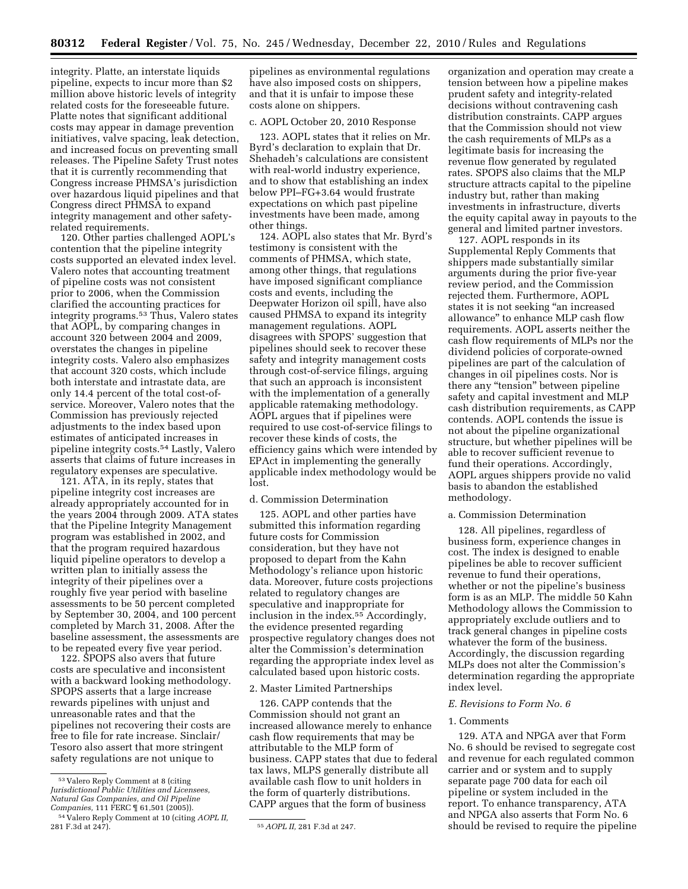integrity. Platte, an interstate liquids pipeline, expects to incur more than \$2 million above historic levels of integrity related costs for the foreseeable future. Platte notes that significant additional costs may appear in damage prevention initiatives, valve spacing, leak detection, and increased focus on preventing small releases. The Pipeline Safety Trust notes that it is currently recommending that Congress increase PHMSA's jurisdiction over hazardous liquid pipelines and that Congress direct PHMSA to expand integrity management and other safetyrelated requirements.

120. Other parties challenged AOPL's contention that the pipeline integrity costs supported an elevated index level. Valero notes that accounting treatment of pipeline costs was not consistent prior to 2006, when the Commission clarified the accounting practices for integrity programs.53 Thus, Valero states that AOPL, by comparing changes in account 320 between 2004 and 2009, overstates the changes in pipeline integrity costs. Valero also emphasizes that account 320 costs, which include both interstate and intrastate data, are only 14.4 percent of the total cost-ofservice. Moreover, Valero notes that the Commission has previously rejected adjustments to the index based upon estimates of anticipated increases in pipeline integrity costs.54 Lastly, Valero asserts that claims of future increases in regulatory expenses are speculative.

121. ATA, in its reply, states that pipeline integrity cost increases are already appropriately accounted for in the years 2004 through 2009. ATA states that the Pipeline Integrity Management program was established in 2002, and that the program required hazardous liquid pipeline operators to develop a written plan to initially assess the integrity of their pipelines over a roughly five year period with baseline assessments to be 50 percent completed by September 30, 2004, and 100 percent completed by March 31, 2008. After the baseline assessment, the assessments are to be repeated every five year period.

122. SPOPS also avers that future costs are speculative and inconsistent with a backward looking methodology. SPOPS asserts that a large increase rewards pipelines with unjust and unreasonable rates and that the pipelines not recovering their costs are free to file for rate increase. Sinclair/ Tesoro also assert that more stringent safety regulations are not unique to

pipelines as environmental regulations have also imposed costs on shippers, and that it is unfair to impose these costs alone on shippers.

# c. AOPL October 20, 2010 Response

123. AOPL states that it relies on Mr. Byrd's declaration to explain that Dr. Shehadeh's calculations are consistent with real-world industry experience, and to show that establishing an index below PPI–FG+3.64 would frustrate expectations on which past pipeline investments have been made, among other things.

124. AOPL also states that Mr. Byrd's testimony is consistent with the comments of PHMSA, which state, among other things, that regulations have imposed significant compliance costs and events, including the Deepwater Horizon oil spill, have also caused PHMSA to expand its integrity management regulations. AOPL disagrees with SPOPS' suggestion that pipelines should seek to recover these safety and integrity management costs through cost-of-service filings, arguing that such an approach is inconsistent with the implementation of a generally applicable ratemaking methodology. AOPL argues that if pipelines were required to use cost-of-service filings to recover these kinds of costs, the efficiency gains which were intended by EPAct in implementing the generally applicable index methodology would be lost.

# d. Commission Determination

125. AOPL and other parties have submitted this information regarding future costs for Commission consideration, but they have not proposed to depart from the Kahn Methodology's reliance upon historic data. Moreover, future costs projections related to regulatory changes are speculative and inappropriate for inclusion in the index.55 Accordingly, the evidence presented regarding prospective regulatory changes does not alter the Commission's determination regarding the appropriate index level as calculated based upon historic costs.

#### 2. Master Limited Partnerships

126. CAPP contends that the Commission should not grant an increased allowance merely to enhance cash flow requirements that may be attributable to the MLP form of business. CAPP states that due to federal tax laws, MLPS generally distribute all available cash flow to unit holders in the form of quarterly distributions. CAPP argues that the form of business

organization and operation may create a tension between how a pipeline makes prudent safety and integrity-related decisions without contravening cash distribution constraints. CAPP argues that the Commission should not view the cash requirements of MLPs as a legitimate basis for increasing the revenue flow generated by regulated rates. SPOPS also claims that the MLP structure attracts capital to the pipeline industry but, rather than making investments in infrastructure, diverts the equity capital away in payouts to the general and limited partner investors.

127. AOPL responds in its Supplemental Reply Comments that shippers made substantially similar arguments during the prior five-year review period, and the Commission rejected them. Furthermore, AOPL states it is not seeking "an increased allowance'' to enhance MLP cash flow requirements. AOPL asserts neither the cash flow requirements of MLPs nor the dividend policies of corporate-owned pipelines are part of the calculation of changes in oil pipelines costs. Nor is there any ''tension'' between pipeline safety and capital investment and MLP cash distribution requirements, as CAPP contends. AOPL contends the issue is not about the pipeline organizational structure, but whether pipelines will be able to recover sufficient revenue to fund their operations. Accordingly, AOPL argues shippers provide no valid basis to abandon the established methodology.

# a. Commission Determination

128. All pipelines, regardless of business form, experience changes in cost. The index is designed to enable pipelines be able to recover sufficient revenue to fund their operations, whether or not the pipeline's business form is as an MLP. The middle 50 Kahn Methodology allows the Commission to appropriately exclude outliers and to track general changes in pipeline costs whatever the form of the business. Accordingly, the discussion regarding MLPs does not alter the Commission's determination regarding the appropriate index level.

### *E. Revisions to Form No. 6*

# 1. Comments

129. ATA and NPGA aver that Form No. 6 should be revised to segregate cost and revenue for each regulated common carrier and or system and to supply separate page 700 data for each oil pipeline or system included in the report. To enhance transparency, ATA and NPGA also asserts that Form No. 6 should be revised to require the pipeline

<sup>53</sup> Valero Reply Comment at 8 (citing *Jurisdictional Public Utilities and Licensees, Natural Gas Companies, and Oil Pipeline Companies,* 111 FERC ¶ 61,501 (2005)).

<sup>54</sup> Valero Reply Comment at 10 (citing *AOPL II,* 

<sup>281</sup> F.3d at 247). 55*AOPL II,* 281 F.3d at 247.